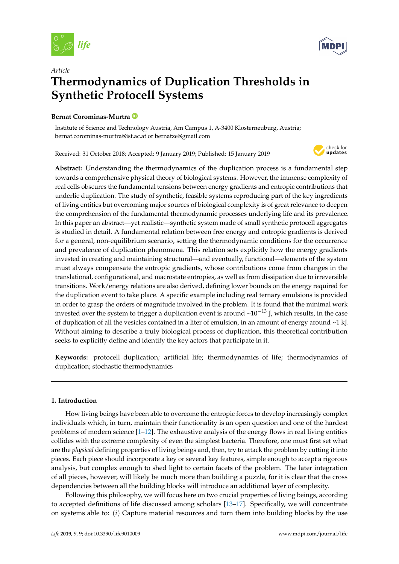



# *Article* **Thermodynamics of Duplication Thresholds in Synthetic Protocell Systems**

## **Bernat Corominas-Murtra**

Institute of Science and Technology Austria, Am Campus 1, A-3400 Klosterneuburg, Austria; bernat.corominas-murtra@ist.ac.at or bernatze@gmail.com

Received: 31 October 2018; Accepted: 9 January 2019; Published: 15 January 2019



**Abstract:** Understanding the thermodynamics of the duplication process is a fundamental step towards a comprehensive physical theory of biological systems. However, the immense complexity of real cells obscures the fundamental tensions between energy gradients and entropic contributions that underlie duplication. The study of synthetic, feasible systems reproducing part of the key ingredients of living entities but overcoming major sources of biological complexity is of great relevance to deepen the comprehension of the fundamental thermodynamic processes underlying life and its prevalence. In this paper an abstract—yet realistic—synthetic system made of small synthetic protocell aggregates is studied in detail. A fundamental relation between free energy and entropic gradients is derived for a general, non-equilibrium scenario, setting the thermodynamic conditions for the occurrence and prevalence of duplication phenomena. This relation sets explicitly how the energy gradients invested in creating and maintaining structural—and eventually, functional—elements of the system must always compensate the entropic gradients, whose contributions come from changes in the translational, configurational, and macrostate entropies, as well as from dissipation due to irreversible transitions. Work/energy relations are also derived, defining lower bounds on the energy required for the duplication event to take place. A specific example including real ternary emulsions is provided in order to grasp the orders of magnitude involved in the problem. It is found that the minimal work invested over the system to trigger a duplication event is around ~10−<sup>13</sup> J, which results, in the case of duplication of all the vesicles contained in a liter of emulsion, in an amount of energy around ~1 kJ. Without aiming to describe a truly biological process of duplication, this theoretical contribution seeks to explicitly define and identify the key actors that participate in it.

**Keywords:** protocell duplication; artificial life; thermodynamics of life; thermodynamics of duplication; stochastic thermodynamics

## **1. Introduction**

How living beings have been able to overcome the entropic forces to develop increasingly complex individuals which, in turn, maintain their functionality is an open question and one of the hardest problems of modern science  $[1-12]$  $[1-12]$ . The exhaustive analysis of the energy flows in real living entities collides with the extreme complexity of even the simplest bacteria. Therefore, one must first set what are the *physical* defining properties of living beings and, then, try to attack the problem by cutting it into pieces. Each piece should incorporate a key or several key features, simple enough to accept a rigorous analysis, but complex enough to shed light to certain facets of the problem. The later integration of all pieces, however, will likely be much more than building a puzzle, for it is clear that the cross dependencies between all the building blocks will introduce an additional layer of complexity.

Following this philosophy, we will focus here on two crucial properties of living beings, according to accepted definitions of life discussed among scholars [\[13](#page-20-1)[–17\]](#page-20-2). Specifically, we will concentrate on systems able to: (*i*) Capture material resources and turn them into building blocks by the use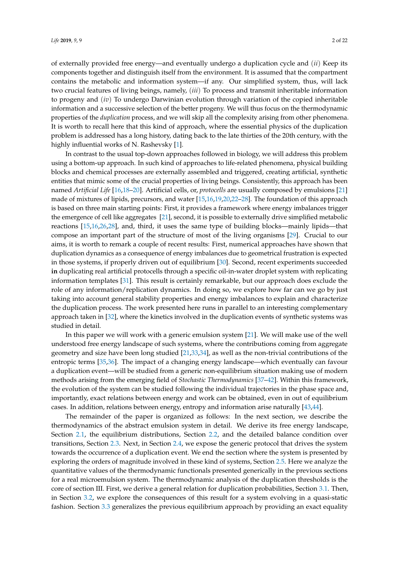of externally provided free energy—and eventually undergo a duplication cycle and (*ii*) Keep its components together and distinguish itself from the environment. It is assumed that the compartment contains the metabolic and information system—if any. Our simplified system, thus, will lack two crucial features of living beings, namely, (*iii*) To process and transmit inheritable information to progeny and (*iv*) To undergo Darwinian evolution through variation of the copied inheritable information and a successive selection of the better progeny. We will thus focus on the thermodynamic properties of the *duplication* process, and we will skip all the complexity arising from other phenomena. It is worth to recall here that this kind of approach, where the essential physics of the duplication problem is addressed has a long history, dating back to the late thirties of the 20th century, with the highly influential works of N. Rashevsky [\[1\]](#page-19-0).

In contrast to the usual top-down approaches followed in biology, we will address this problem using a bottom-up approach. In such kind of approaches to life-related phenomena, physical building blocks and chemical processes are externally assembled and triggered, creating artificial, synthetic entities that mimic some of the crucial properties of living beings. Consistently, this approach has been named *Artificial Life* [\[16,](#page-20-3)[18](#page-20-4)[–20\]](#page-20-5). Artificial cells, or, *protocells* are usually composed by emulsions [\[21\]](#page-20-6) made of mixtures of lipids, precursors, and water [\[15](#page-20-7)[,16](#page-20-3)[,19,](#page-20-8)[20,](#page-20-5)[22–](#page-20-9)[28\]](#page-20-10). The foundation of this approach is based on three main starting points: First, it provides a framework where energy imbalances trigger the emergence of cell like aggregates [\[21\]](#page-20-6), second, it is possible to externally drive simplified metabolic reactions [\[15,](#page-20-7)[16,](#page-20-3)[26,](#page-20-11)[28\]](#page-20-10), and, third, it uses the same type of building blocks—mainly lipids—that compose an important part of the structure of most of the living organisms [\[29\]](#page-20-12). Crucial to our aims, it is worth to remark a couple of recent results: First, numerical approaches have shown that duplication dynamics as a consequence of energy imbalances due to geometrical frustration is expected in those systems, if properly driven out of equilibrium [\[30\]](#page-20-13). Second, recent experiments succeeded **in** duplicating real artificial protocells through a specific oil-in-water droplet system with replicating information templates [\[31\]](#page-20-14). This result is certainly remarkable, but our approach does exclude the role of any information/replication dynamics. In doing so, we explore how far can we go by just taking into account general stability properties and energy imbalances to explain and characterize the duplication process. The work presented here runs in parallel to an interesting complementary approach taken in [\[32\]](#page-20-15), where the kinetics involved in the duplication events of synthetic systems was studied in detail.

In this paper we will work with a generic emulsion system [\[21\]](#page-20-6). We will make use of the well understood free energy landscape of such systems, where the contributions coming from aggregate geometry and size have been long studied [\[21,](#page-20-6)[33,](#page-20-16)[34\]](#page-20-17), as well as the non-trivial contributions of the entropic terms [\[35](#page-20-18)[,36\]](#page-20-19). The impact of a changing energy landscape—which eventually can favour a duplication event—will be studied from a generic non-equilibrium situation making use of modern methods arising from the emerging field of *Stochastic Thermodynamics* [\[37](#page-20-20)[–42\]](#page-21-0). Within this framework, the evolution of the system can be studied following the individual trajectories in the phase space and, importantly, exact relations between energy and work can be obtained, even in out of equilibrium cases. In addition, relations between energy, entropy and information arise naturally [\[43](#page-21-1)[,44\]](#page-21-2).

The remainder of the paper is organized as follows: In the next section, we describe the thermodynamics of the abstract emulsion system in detail. We derive its free energy landscape, Section [2.1,](#page-2-0) the equilibrium distributions, Section [2.2,](#page-4-0) and the detailed balance condition over transitions, Section [2.3.](#page-5-0) Next, in Section [2.4,](#page-5-1) we expose the generic protocol that drives the system towards the occurrence of a duplication event. We end the section where the system is presented by exploring the orders of magnitude involved in these kind of systems, Section [2.5.](#page-6-0) Here we analyze the quantitative values of the thermodynamic functionals presented generically in the previous sections for a real microemulsion system. The thermodynamic analysis of the duplication thresholds is the core of section III. First, we derive a general relation for duplication probabilities, Section [3.1.](#page-8-0) Then, in Section [3.2,](#page-9-0) we explore the consequences of this result for a system evolving in a quasi-static fashion. Section [3.3](#page-10-0) generalizes the previous equilibrium approach by providing an exact equality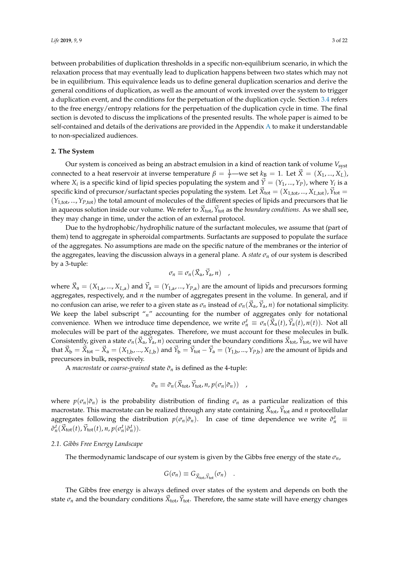between probabilities of duplication thresholds in a specific non-equilibrium scenario, in which the relaxation process that may eventually lead to duplication happens between two states which may not be in equilibrium. This equivalence leads us to define general duplication scenarios and derive the general conditions of duplication, as well as the amount of work invested over the system to trigger a duplication event, and the conditions for the perpetuation of the duplication cycle. Section [3.4](#page-15-0) refers to the free energy/entropy relations for the perpetuation of the duplication cycle in time. The final section is devoted to discuss the implications of the presented results. The whole paper is aimed to be self-contained and details of the derivations are provided in the Appendix [A](#page-17-0) to make it understandable to non-specialized audiences.

## **2. The System**

Our system is conceived as being an abstract emulsion in a kind of reaction tank of volume V<sub>syst</sub> connected to a heat reservoir at inverse temperature  $\beta = \frac{1}{T}$ —we set  $k_B = 1$ . Let  $\vec{X} = (X_1, ..., X_L)$ , where  $X_i$  is a specific kind of lipid species populating the system and  $\vec{Y} = (Y_1, ..., Y_P)$ , where  $Y_i$  is a specific kind of precursor/surfactant species populating the system. Let  $\bar{X}_{\text{tot}} = (X_{1,\text{tot}},...,X_{L,\text{tot}})$ ,  $\hat{Y}_{\text{tot}} =$  $(Y_{1,tot},...,Y_{P,tot})$  the total amount of molecules of the different species of lipids and precursors that lie in aqueous solution inside our volume. We refer to  $\vec{X}_{tot}$ ,  $\vec{Y}_{tot}$  as the *boundary conditions*. As we shall see, they may change in time, under the action of an external protocol.

Due to the hydrophobic/hydrophilic nature of the surfactant molecules, we assume that (part of them) tend to aggregate in spheroidal compartments. Surfactants are supposed to populate the surface of the aggregates. No assumptions are made on the specific nature of the membranes or the interior of the aggregates, leaving the discussion always in a general plane. A *state σ<sup>n</sup>* of our system is described by a 3-tuple:

$$
\sigma_n \equiv \sigma_n(\vec{X}_a, \vec{Y}_a, n) \quad ,
$$

where  $\vec{X}_a = (X_{1,a},...,X_{L,a})$  and  $\vec{Y}_a = (Y_{1,a},...,Y_{P,a})$  are the amount of lipids and precursors forming aggregates, respectively, and *n* the number of aggregates present in the volume. In general, and if no confusion can arise, we refer to a given state as  $\sigma_n$  instead of  $\sigma_n(\vec{X}_a, \vec{Y}_a, n)$  for notational simplicity. We keep the label subscript "n" accounting for the number of aggregates only for notational convenience. When we introduce time dependence, we write  $\sigma_n^t \equiv \sigma_n(\vec{X}_a(t), \vec{Y}_a(t), n(t))$ . Not all molecules will be part of the aggregates. Therefore, we must account for these molecules in bulk. Consistently, given a state  $\sigma_n(\vec{X}_a, \vec{Y}_a, n)$  occuring under the boundary conditions  $\vec{X}_{tot}$ ,  $\vec{Y}_{tot}$ , we wil have that  $\vec{X}_b = \vec{X}_{tot} - \vec{X}_a = (X_{1,b}, ..., X_{L,b})$  and  $\vec{Y}_b = \vec{Y}_{tot} - \vec{Y}_a = (Y_{1,b}, ..., Y_{P,b})$  are the amount of lipids and precursors in bulk, respectively.

A *macrostate* or *coarse-grained* state  $\tilde{\sigma}_n$  is defined as the 4-tuple:

$$
\tilde{\sigma}_n \equiv \tilde{\sigma}_n(\vec{X}_{\text{tot}}, \vec{Y}_{\text{tot}}, n, p(\sigma_n|\tilde{\sigma}_n)) \quad ,
$$

where  $p(\sigma_n|\tilde{\sigma}_n)$  is the probability distribution of finding  $\sigma_n$  as a particular realization of this macrostate. This macrostate can be realized through any state containing  $\vec{X}_{tot}$ ,  $\vec{Y}_{tot}$  and *n* protocellular aggregates following the distribution  $p(\sigma_n|\tilde{\sigma}_n)$ . In case of time dependence we write  $\tilde{\sigma}_n^t$  $\tilde{\sigma}_n^t(\vec{X}_{\text{tot}}(t), \vec{Y}_{\text{tot}}(t), n, p(\sigma_n^t | \tilde{\sigma}_n^t)).$ 

## <span id="page-2-0"></span>*2.1. Gibbs Free Energy Landscape*

The thermodynamic landscape of our system is given by the Gibbs free energy of the state *σn*,

$$
G(\sigma_n) \equiv G_{\vec{X}_{\text{tot}}, \vec{Y}_{\text{tot}}}(\sigma_n) \quad .
$$

The Gibbs free energy is always defined over states of the system and depends on both the state  $\sigma_n$  and the boundary conditions  $\vec{X}_{\text{tot}}$ ,  $\vec{Y}_{\text{tot}}$ . Therefore, the same state will have energy changes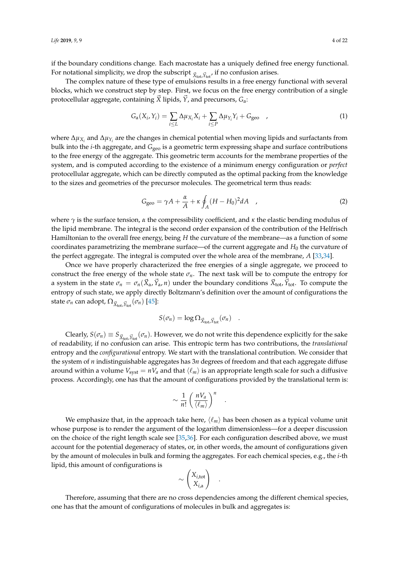if the boundary conditions change. Each macrostate has a uniquely defined free energy functional. For notational simplicity, we drop the subscript  $\vec{x}_{\text{tot}}, \vec{y}_{\text{tot}}$ , if no confusion arises.

The complex nature of these type of emulsions results in a free energy functional with several blocks, which we construct step by step. First, we focus on the free energy contribution of a single protocellular aggregate, containing  $\vec{X}$  lipids,  $\vec{Y}$ , and precursors,  $G_a$ :

<span id="page-3-0"></span>
$$
G_{a}(X_{i}, Y_{i}) = \sum_{i \leq L} \Delta \mu_{X_{i}} X_{i} + \sum_{i \leq P} \Delta \mu_{Y_{i}} Y_{i} + G_{\text{geo}} \quad , \tag{1}
$$

where ∆*µX<sup>i</sup>* and ∆*µY<sup>i</sup>* are the changes in chemical potential when moving lipids and surfactants from bulk into the *i*-th aggregate, and *G*geo is a geometric term expressing shape and surface contributions to the free energy of the aggregate. This geometric term accounts for the membrane properties of the system, and is computed according to the existence of a minimum energy configuration or *perfect* protocellular aggregate, which can be directly computed as the optimal packing from the knowledge to the sizes and geometries of the precursor molecules. The geometrical term thus reads:

<span id="page-3-1"></span>
$$
G_{\rm geo} = \gamma A + \frac{\alpha}{A} + \kappa \oint_A (H - H_0)^2 dA \quad , \tag{2}
$$

where *γ* is the surface tension, *α* the compressibility coefficient, and *κ* the elastic bending modulus of the lipid membrane. The integral is the second order expansion of the contribution of the Helfrisch Hamiltonian to the overall free energy, being *H* the curvature of the membrane—as a function of some coordinates parametrizing the membrane surface—of the current aggregate and  $H_0$  the curvature of the perfect aggregate. The integral is computed over the whole area of the membrane, *A* [\[33](#page-20-16)[,34\]](#page-20-17).

Once we have properly characterized the free energies of a single aggregate, we proceed to construct the free energy of the whole state  $\sigma_n$ . The next task will be to compute the entropy for a system in the state  $\sigma_n = \sigma_n(\vec{X}_a, \vec{Y}_a, n)$  under the boundary conditions  $\vec{X}_{tot}$ ,  $\vec{Y}_{tot}$ . To compute the entropy of such state, we apply directly Boltzmann's definition over the amount of configurations the state  $\sigma_n$  can adopt,  $\Omega_{\vec{X}_{\text{tot}},\vec{Y}_{\text{tot}}}(\sigma_n)$  [\[45\]](#page-21-3):

$$
S(\sigma_n) = \log \Omega_{\vec{X}_{\text{tot}}, \vec{Y}_{\text{tot}}}(\sigma_n) .
$$

Clearly,  $S(\sigma_n) \equiv S_{\vec{X}_{\text{tot}},\vec{Y}_{\text{tot}}}(\sigma_n)$ . However, we do not write this dependence explicitly for the sake of readability, if no confusion can arise. This entropic term has two contributions, the *translational* entropy and the *configurational* entropy. We start with the translational contribution. We consider that the system of *n* indistinguishable aggregates has 3*n* degrees of freedom and that each aggregate diffuse around within a volume  $V_{syst} = nV_a$  and that  $\langle \ell_m \rangle$  is an appropriate length scale for such a diffusive process. Accordingly, one has that the amount of configurations provided by the translational term is:

$$
\sim \frac{1}{n!} \left( \frac{nV_a}{\langle \ell_m \rangle} \right)^n
$$

.

.

We emphasize that, in the approach take here,  $\langle \ell_m \rangle$  has been chosen as a typical volume unit whose purpose is to render the argument of the logarithm dimensionless—for a deeper discussion on the choice of the right length scale see [\[35,](#page-20-18)[36\]](#page-20-19). For each configuration described above, we must account for the potential degeneracy of states, or, in other words, the amount of configurations given by the amount of molecules in bulk and forming the aggregates. For each chemical species, e.g., the *i*-th lipid, this amount of configurations is

$$
\sim \begin{pmatrix} X_{i,\text{tot}} \\ X_{i,\text{a}} \end{pmatrix}
$$

Therefore, assuming that there are no cross dependencies among the different chemical species, one has that the amount of configurations of molecules in bulk and aggregates is: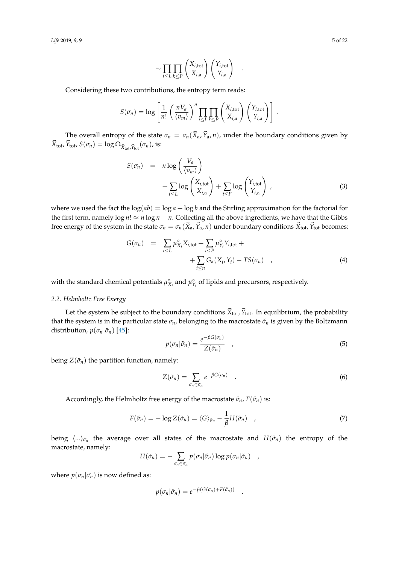$$
\sim \prod_{i \leq L} \prod_{k \leq P} \left( \begin{array}{c} X_{i,\text{tot}} \\ X_{i,\text{a}} \end{array} \right) \left( \begin{array}{c} Y_{i,\text{tot}} \\ Y_{i,\text{a}} \end{array} \right)
$$

Considering these two contributions, the entropy term reads:

$$
S(\sigma_n) = \log \left[ \frac{1}{n!} \left( \frac{nV_a}{\langle v_m \rangle} \right)^n \prod_{i \le L} \prod_{k \le P} \left( \begin{matrix} X_{i,\text{tot}} \\ X_{i,\text{a}} \end{matrix} \right) \left( \begin{matrix} Y_{i,\text{tot}} \\ Y_{i,\text{a}} \end{matrix} \right) \right].
$$

The overall entropy of the state  $\sigma_n = \sigma_n(\vec{X}_a, \vec{Y}_a, n)$ , under the boundary conditions given by  $\vec{X}_{\text{tot}}, \vec{Y}_{\text{tot}}, S(\sigma_n) = \log \Omega_{\vec{X}_{\text{tot}}, \vec{Y}_{\text{tot}}}(\sigma_n)$ , is:

<span id="page-4-3"></span>
$$
S(\sigma_n) = n \log \left( \frac{V_a}{\langle v_m \rangle} \right) + \\ + \sum_{i \le L} \log \left( \frac{X_{i,\text{tot}}}{X_{i,a}} \right) + \sum_{i \le P} \log \left( \frac{Y_{i,\text{tot}}}{Y_{i,a}} \right) , \tag{3}
$$

.

where we used the fact the  $log(ab) = log a + log b$  and the Stirling approximation for the factorial for the first term, namely  $\log n! \approx n \log n - n$ . Collecting all the above ingredients, we have that the Gibbs free energy of the system in the state  $\sigma_n = \sigma_n(\vec{X}_a, \vec{Y}_a, n)$  under boundary conditions  $\vec{X}_{tot}$ ,  $\vec{Y}_{tot}$  becomes:

<span id="page-4-1"></span>
$$
G(\sigma_n) = \sum_{i \le L} \mu_{X_i}^{\circ} X_{i,\text{tot}} + \sum_{i \le P} \mu_{Y_i}^{\circ} Y_{i,\text{tot}} + \sum_{i \le n} G_a(X_i, Y_i) - TS(\sigma_n) , \qquad (4)
$$

with the standard chemical potentials  $\mu_{X_i}^{\circ}$  and  $\mu_{Y_i}^{\circ}$  of lipids and precursors, respectively.

## <span id="page-4-0"></span>*2.2. Helmholtz Free Energy*

Let the system be subject to the boundary conditions  $\vec{X}_{\text{tot}}$ ,  $\vec{Y}_{\text{tot}}$ . In equilibrium, the probability that the system is in the particular state  $\sigma_n$ , belonging to the macrostate  $\tilde{\sigma}_n$  is given by the Boltzmann distribution,  $p(\sigma_n|\tilde{\sigma}_n)$  [\[45\]](#page-21-3):

$$
p(\sigma_n|\tilde{\sigma}_n) = \frac{e^{-\beta G(\sigma_n)}}{Z(\tilde{\sigma}_n)} \quad , \tag{5}
$$

being  $Z(\tilde{\sigma}_n)$  the partition function, namely:

$$
Z(\tilde{\sigma}_n) = \sum_{\sigma_n \in \tilde{\sigma}_n} e^{-\beta G(\sigma_n)} \quad . \tag{6}
$$

Accordingly, the Helmholtz free energy of the macrostate  $\tilde{\sigma}_n$ ,  $F(\tilde{\sigma}_n)$  is:

<span id="page-4-2"></span>
$$
F(\tilde{\sigma}_n) = -\log Z(\tilde{\sigma}_n) = \langle G \rangle_{\tilde{\sigma}_n} - \frac{1}{\beta} H(\tilde{\sigma}_n) \quad , \tag{7}
$$

.

being  $\langle ...\rangle_{\tilde{\sigma}_n}$  the average over all states of the macrostate and  $H(\tilde{\sigma}_n)$  the entropy of the macrostate, namely:

$$
H(\tilde{\sigma}_n) = -\sum_{\sigma_n \in \tilde{\sigma}_n} p(\sigma_n | \tilde{\sigma}_n) \log p(\sigma_n | \tilde{\sigma}_n) ,
$$

where  $p(\sigma_n|\tilde{\sigma}_n)$  is now defined as:

$$
p(\sigma_n|\tilde{\sigma}_n)=e^{-\beta(G(\sigma_n)+F(\tilde{\sigma}_n))}
$$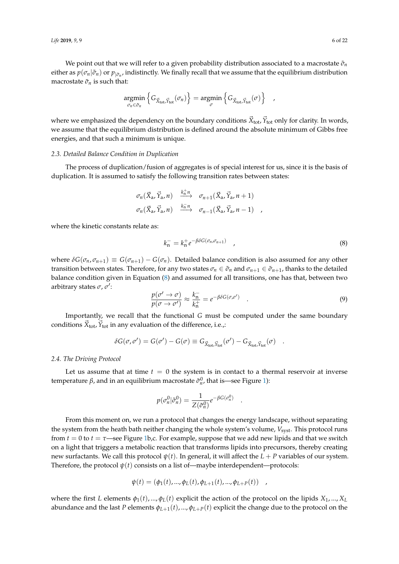We point out that we will refer to a given probability distribution associated to a macrostate  $\tilde{\sigma}_n$ either as  $p(\sigma_n|\tilde{\sigma}_n)$  or  $p_{|\tilde{\sigma}_n}$ , indistinctly. We finally recall that we assume that the equilibrium distribution macrostate  $\tilde{\sigma}_n$  is such that:

$$
\underset{\sigma_n \in \tilde{\sigma}_n}{\operatorname{argmin}} \left\{ G_{\vec{X}_{\text{tot}}, \vec{Y}_{\text{tot}}}(\sigma_n) \right\} = \underset{\sigma}{\operatorname{argmin}} \left\{ G_{\vec{X}_{\text{tot}}, \vec{Y}_{\text{tot}}}(\sigma) \right\} ,
$$

where we emphasized the dependency on the boundary conditions  $\vec{X}_{\text{tot}}$ ,  $\vec{Y}_{\text{tot}}$  only for clarity. In words, we assume that the equilibrium distribution is defined around the absolute minimum of Gibbs free energies, and that such a minimum is unique.

#### <span id="page-5-0"></span>*2.3. Detailed Balance Condition in Duplication*

The process of duplication/fusion of aggregates is of special interest for us, since it is the basis of duplication. It is assumed to satisfy the following transition rates between states:

<span id="page-5-2"></span>
$$
\sigma_n(\vec{X}_a, \vec{Y}_a, n) \xrightarrow{k_n + n} \sigma_{n+1}(\vec{X}_a, \vec{Y}_a, n+1)
$$
  

$$
\sigma_n(\vec{X}_a, \vec{Y}_a, n) \xrightarrow{k_n - n} \sigma_{n-1}(\vec{X}_a, \vec{Y}_a, n-1)
$$

where the kinetic constants relate as:

$$
k_{\mathbf{n}}^{-} = k_{\mathbf{n}}^{+} e^{-\beta \delta \mathbf{G}(\sigma_{n}, \sigma_{n+1})} \quad , \tag{8}
$$

where  $\delta G(\sigma_n, \sigma_{n+1}) \equiv G(\sigma_{n+1}) - G(\sigma_n)$ . Detailed balance condition is also assumed for any other transition between states. Therefore, for any two states  $\sigma_n \in \tilde{\sigma}_n$  and  $\sigma_{n+1} \in \tilde{\sigma}_{n+1}$ , thanks to the detailed balance condition given in Equation [\(8\)](#page-5-2) and assumed for all transitions, one has that, between two arbitrary states *σ*, *σ* 0 :

<span id="page-5-3"></span>
$$
\frac{p(\sigma' \to \sigma)}{p(\sigma \to \sigma')} \approx \frac{k_{\rm n}^-}{k_{\rm n}^+} = e^{-\beta \delta G(\sigma, \sigma')} \quad . \tag{9}
$$

.

Importantly, we recall that the functional *G* must be computed under the same boundary conditions  $\vec{X}_{\text{tot}}$ ,  $\vec{Y}_{\text{tot}}$  in any evaluation of the difference, i.e.,:

$$
\delta G(\sigma, \sigma') = G(\sigma') - G(\sigma) \equiv G_{\vec{X}_{\text{tot}}, \vec{Y}_{\text{tot}}}(\sigma') - G_{\vec{X}_{\text{tot}}, \vec{Y}_{\text{tot}}}(\sigma) .
$$

#### <span id="page-5-1"></span>*2.4. The Driving Protocol*

Let us assume that at time  $t = 0$  the system is in contact to a thermal reservoir at inverse temperature *β*, and in an equilibrium macrostate  $\tilde{\sigma}_n^0$ , that is—see Figure [1\)](#page-6-1):

$$
p(\sigma_n^0 | \tilde{\sigma}_n^0) = \frac{1}{Z(\tilde{\sigma}_n^0)} e^{-\beta G(\sigma_n^0)}
$$

From this moment on, we run a protocol that changes the energy landscape, without separating the system from the heath bath neither changing the whole system's volume,  $V_{syst}$ . This protocol runs from  $t = 0$  to  $t = \tau$ —see Figure [1b](#page-6-1),c. For example, suppose that we add new lipids and that we switch on a light that triggers a metabolic reaction that transforms lipids into precursors, thereby creating new surfactants. We call this protocol  $\psi(t)$ . In general, it will affect the  $L + P$  variables of our system. Therefore, the protocol  $\psi(t)$  consists on a list of—maybe interdependent—protocols:

$$
\psi(t) = (\phi_1(t), ..., \phi_L(t), \phi_{L+1}(t), ..., \phi_{L+P}(t)) ,
$$

where the first *L* elements  $\phi_1(t)$ , ...,  $\phi_L(t)$  explicit the action of the protocol on the lipids  $X_1$ , ...,  $X_L$ abundance and the last *P* elements  $\phi_{L+1}(t)$ , ...,  $\phi_{L+P}(t)$  explicit the change due to the protocol on the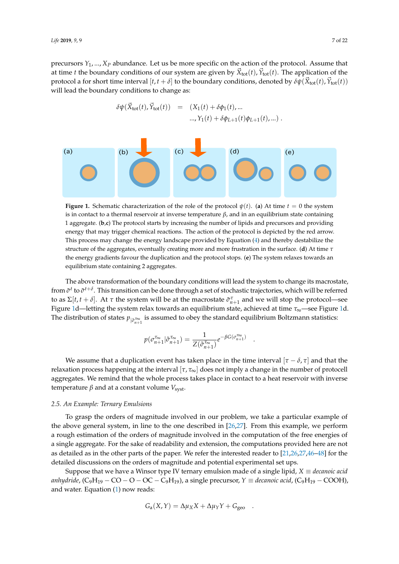precursors *Y*1, ..., *X<sup>P</sup>* abundance. Let us be more specific on the action of the protocol. Assume that at time *t* the boundary conditions of our system are given by  $\vec{X}_{\text{tot}}(t)$ ,  $\vec{Y}_{\text{tot}}(t)$ . The application of the protocol a for short time interval  $[t, t + \delta]$  to the boundary conditions, denoted by  $\delta \psi(X_{tot}(t), Y_{tot}(t))$ will lead the boundary conditions to change as:

<span id="page-6-2"></span>
$$
\delta \psi(\vec{X}_{\text{tot}}(t), \vec{Y}_{\text{tot}}(t)) = (X_1(t) + \delta \phi_1(t), ... \n... , Y_1(t) + \delta \phi_{L+1}(t) \phi_{L+1}(t), ...).
$$

<span id="page-6-1"></span>

**Figure 1.** Schematic characterization of the role of the protocol  $\psi(t)$ . (**a**) At time  $t = 0$  the system is in contact to a thermal reservoir at inverse temperature  $\beta$ , and in an equilibrium state containing 1 aggregate. (**b**,**c**) The protocol starts by increasing the number of lipids and precursors and providing energy that may trigger chemical reactions. The action of the protocol is depicted by the red arrow. This process may change the energy landscape provided by Equation [\(4\)](#page-4-1) and thereby destabilize the structure of the aggregates, eventually creating more and more frustration in the surface. (**d**) At time *τ* the energy gradients favour the duplication and the protocol stops. (**e**) The system relaxes towards an equilibrium state containing 2 aggregates.

The above transformation of the boundary conditions will lead the system to change its macrostate, from *σ*˜ *t* to *σ*˜ *t*+*δ* . This transition can be done through a set of stochastic trajectories, which will be referred to as  $\Sigma[t, t + \delta]$ . At *τ* the system will be at the macrostate  $\tilde{\sigma}_{n+1}^{\tau}$  and we will stop the protocol—see Figure [1d](#page-6-1)—letting the system relax towards an equilibrium state, achieved at time *τ*∞—see Figure [1d](#page-6-1). The distribution of states  $p_{|\tilde{\sigma}^{\tau_\infty}_{n+1}}$  is assumed to obey the standard equilibrium Boltzmann statistics:

$$
p(\sigma_{n+1}^{\tau_{\infty}}|\tilde{\sigma}_{n+1}^{\tau_{\infty}})=\frac{1}{Z(\tilde{\sigma}_{n+1}^{\tau_{\infty}})}e^{-\beta G(\sigma_{n+1}^{\tau_{\infty}})}
$$

.

We assume that a duplication event has taken place in the time interval  $[\tau - \delta, \tau]$  and that the relaxation process happening at the interval [*τ*, *τ*∞] does not imply a change in the number of protocell aggregates. We remind that the whole process takes place in contact to a heat reservoir with inverse temperature  $β$  and at a constant volume  $V_{syst}$ .

#### <span id="page-6-0"></span>*2.5. An Example: Ternary Emulsions*

To grasp the orders of magnitude involved in our problem, we take a particular example of the above general system, in line to the one described in [\[26](#page-20-11)[,27\]](#page-20-21). From this example, we perform a rough estimation of the orders of magnitude involved in the computation of the free energies of a single aggregate. For the sake of readability and extension, the computations provided here are not as detailed as in the other parts of the paper. We refer the interested reader to [\[21,](#page-20-6)[26,](#page-20-11)[27](#page-20-21)[,46–](#page-21-4)[48\]](#page-21-5) for the detailed discussions on the orders of magnitude and potential experimental set ups.

Suppose that we have a Winsor type IV ternary emulsion made of a single lipid, *X* ≡ *decanoic acid anhydride*, (C9H<sup>19</sup> − CO − O − OC − C9H19), a single precursor, *Y* ≡ *decanoic acid*, (C9H<sup>19</sup> − COOH), and water. Equation [\(1\)](#page-3-0) now reads:

$$
G_{a}(X,Y) = \Delta \mu_{X} X + \Delta \mu_{Y} Y + G_{\text{geo}}.
$$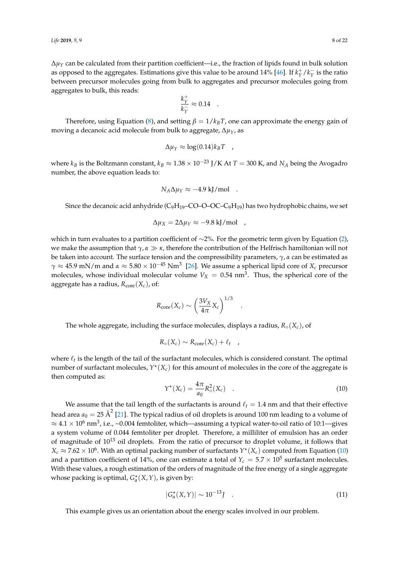∆*µ<sup>Y</sup>* can be calculated from their partition coefficient—i.e., the fraction of lipids found in bulk solution as opposed to the aggregates. Estimations give this value to be around 14% [\[46\]](#page-21-4). If  $k_Y^+/k_Y^-$  is the ratio between precursor molecules going from bulk to aggregates and precursor molecules going from aggregates to bulk, this reads:

$$
\frac{k_Y^+}{k_Y^-} \approx 0.14 \quad .
$$

Therefore, using Equation [\(8\)](#page-5-2), and setting  $\beta = 1/k_B T$ , one can approximate the energy gain of moving a decanoic acid molecule from bulk to aggregate, ∆*µY*, as

$$
\Delta \mu_Y \approx \log(0.14) k_B T \quad ,
$$

where  $k_B$  is the Boltzmann constant,  $k_B \approx 1.38 \times 10^{-23}$  J/K At  $T = 300$  K, and  $N_A$  being the Avogadro number, the above equation leads to:

$$
N_A \Delta \mu_Y \approx -4.9 \text{ kJ/mol} .
$$

Since the decanoic acid anhydride  $(C_9H_{19}-CO-O-O-C_9H_{19})$  has two hydrophobic chains, we set

$$
\Delta \mu_X = 2\Delta \mu_Y \approx -9.8 \text{ kJ/mol} ,
$$

which in turn evaluates to a partition coefficient of  $\sim$ 2%. For the geometric term given by Equation [\(2\)](#page-3-1), we make the assumption that  $\gamma$ ,  $\alpha \gg \kappa$ , therefore the contribution of the Helfrisch hamiltonian will not be taken into account. The surface tension and the compressibility parameters, *γ*, *α* can be estimated as  $\gamma\approx45.9$  mN/m and  $\alpha\approx5.80\times10^{-45}$  Nm $^3$  [\[26\]](#page-20-11). We assume a spherical lipid core of  $X_c$  precursor molecules, whose individual molecular volume  $V_X = 0.54 \text{ nm}^3$ . Thus, the spherical core of the aggregate has a radius,  $R_{\text{core}}(X_c)$ , of:

$$
R_{\rm core}(X_c) \sim \left(\frac{3V_X}{4\pi}X_c\right)^{1/3}
$$

The whole aggregate, including the surface molecules, displays a radius,  $R_{\circ}(X_c)$ , of

$$
R_{\circ}(X_c) \sim R_{\text{core}}(X_c) + \ell_t \quad ,
$$

where  $\ell_t$  is the length of the tail of the surfactant molecules, which is considered constant. The optimal number of surfactant molecules,  $Y^{\star}(X_c)$  for this amount of molecules in the core of the aggregate is then computed as:

$$
Y^{\star}(X_c) = \frac{4\pi}{a_0} R_{\circ}^2(X_c) \quad . \tag{10}
$$

.

We assume that the tail length of the surfactants is around  $\ell_t = 1.4$  nm and that their effective head area  $a_0=$  25 Å $^2$  [\[21\]](#page-20-6). The typical radius of oil droplets is around 100 nm leading to a volume of  $\approx 4.1 \times 10^6$  nm $^3$ , i.e., ~0.004 femtoliter, which—assuming a typical water-to-oil ratio of 10:1—gives a system volume of 0.044 femtoliter per droplet. Therefore, a milliliter of emulsion has an order of magnitude of  $10^{13}$  oil droplets. From the ratio of precursor to droplet volume, it follows that  $X_c \approx 7.62 \times 10^6$ . With an optimal packing number of surfactants  $Y^*(X_c)$  computed from Equation [\(10\)](#page-6-2) and a partition coefficient of 14%, one can estimate a total of  $Y_c = 5.7 \times 10^5$  surfactant molecules. With these values, a rough estimation of the orders of magnitude of the free energy of a single aggregate whose packing is optimal,  $G^*_{a}(X, Y)$ , is given by:

<span id="page-7-0"></span>
$$
|G_a^*(X,Y)| \sim 10^{-13} J \quad . \tag{11}
$$

This example gives us an orientation about the energy scales involved in our problem.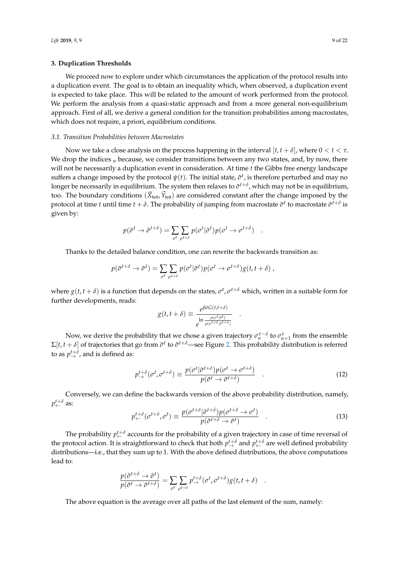## **3. Duplication Thresholds**

We proceed now to explore under which circumstances the application of the protocol results into a duplication event. The goal is to obtain an inequality which, when observed, a duplication event is expected to take place. This will be related to the amount of work performed from the protocol. We perform the analysis from a quasi-static approach and from a more general non-equilibrium approach. First of all, we derive a general condition for the transition probabilities among macrostates, which does not require, a priori, equilibrium conditions.

## <span id="page-8-0"></span>*3.1. Transition Probabilities between Macrostates*

Now we take a close analysis on the process happening in the interval  $[t, t + \delta]$ , where  $0 < t < \tau$ . We drop the indices  $n_i$  because, we consider transitions between any two states, and, by now, there will not be necessarily a duplication event in consideration. At time *t* the Gibbs free energy landscape suffers a change imposed by the protocol  $\psi(t)$ . The initial state,  $\tilde{\sigma}^t$ , is therefore perturbed and may no longer be necessarily in equilibrium. The system then relaxes to  $\tilde{\sigma}^{t+\delta}$ , which may not be in equilibrium, too. The boundary conditions ( $\vec{X}_{tot}$ ,  $\vec{Y}_{tot}$ ) are considered constant after the change imposed by the protocol at time *t* until time  $t + \delta$ . The probability of jumping from macrostate  $\tilde{\sigma}^t$  to macrostate  $\tilde{\sigma}^{t+\delta}$  is given by:

<span id="page-8-2"></span>
$$
p(\tilde{\sigma}^t \to \tilde{\sigma}^{t+\delta}) = \sum_{\sigma^t} \sum_{\sigma^{t+\delta}} p(\sigma^t | \tilde{\sigma}^t) p(\sigma^t \to \sigma^{t+\delta}) \quad .
$$

Thanks to the detailed balance condition, one can rewrite the backwards transition as:

$$
p(\tilde{\sigma}^{t+\delta}\to \tilde{\sigma}^t) = \sum_{\sigma^t} \sum_{\sigma^{t+\delta}} p(\sigma^t | \tilde{\sigma}^t) p(\sigma^t \to \sigma^{t+\delta}) g(t, t+\delta) ,
$$

where  $g(t, t + \delta)$  is a function that depends on the states,  $\sigma^t$ ,  $\sigma^{t+\delta}$  which, written in a suitable form for further developments, reads:

$$
g(t, t + \delta) \equiv \frac{e^{\beta \delta G(t, t + \delta)}}{e^{\ln \frac{p(\sigma^t | \sigma^t)}{p(\sigma^{t + \delta} | \tilde{\sigma}^{t + \delta})}}
$$

Now, we derive the probability that we chose a given trajectory  $\sigma_n^{\tau-\delta}$  to  $\sigma_{n+1}^{\tau}$  from the ensemble  $\Sigma[t,t+\delta]$  of trajectories that go from  $\tilde{\sigma}^t$  to  $\tilde{\sigma}^{t+\delta}$ —see Figure [2.](#page-9-1) This probability distribution is referred to as  $p_{\rightarrow}^{t+\delta}$ , and is defined as:

$$
p_{\rightarrow}^{t+\delta}(\sigma^t, \sigma^{t+\delta}) \equiv \frac{p(\sigma^t|\tilde{\sigma}^{t+\delta})p(\sigma^t \to \sigma^{t+\delta})}{p(\tilde{\sigma}^t \to \tilde{\sigma}^{t+\delta})} \quad . \tag{12}
$$

.

Conversely, we can define the backwards version of the above probability distribution, namely,  $p_+^{t+\delta}$  as:

$$
p_{\leftarrow}^{t+\delta}(\sigma^{t+\delta}, \sigma^t) \equiv \frac{p(\sigma^{t+\delta}|\tilde{\sigma}^{t+\delta})p(\sigma^{t+\delta} \to \sigma^t)}{p(\tilde{\sigma}^{t+\delta} \to \tilde{\sigma}^t)} \quad . \tag{13}
$$

The probability  $p_{\leftarrow}^{t+\delta}$  accounts for the probability of a given trajectory in case of time reversal of the protocol action. It is straightforward to check that both  $p^{t+\delta}_\to$  and  $p^{t+\delta}_\leftarrow$  are well defined probability distributions—i.e., that they sum up to 1. With the above defined distributions, the above computations lead to:

<span id="page-8-1"></span>
$$
\frac{p(\tilde{\sigma}^{t+\delta}\to \tilde{\sigma}^t)}{p(\tilde{\sigma}^t\to \tilde{\sigma}^{t+\delta})} = \sum_{\sigma^t}\sum_{\sigma^{t+\delta}}p_{\to}^{t+\delta}(\sigma^t,\sigma^{t+\delta})g(t,t+\delta) \quad .
$$

The above equation is the average over all paths of the last element of the sum, namely: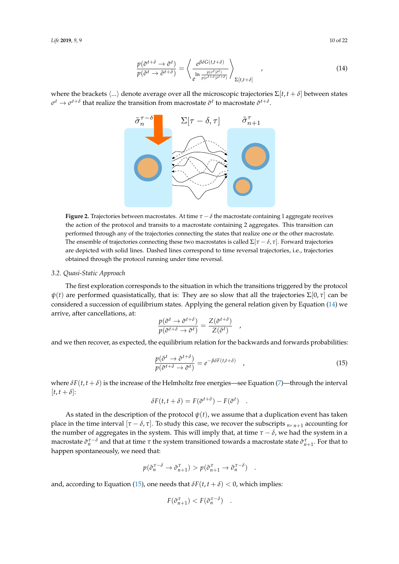$$
\frac{p(\tilde{\sigma}^{t+\delta}\to\tilde{\sigma}^t)}{p(\tilde{\sigma}^t\to\tilde{\sigma}^{t+\delta})} = \left\langle \frac{e^{\beta\delta G(t,t+\delta)}}{e^{\ln\frac{p(\sigma^t|\tilde{\sigma}^t)}{p(\sigma^{t+\delta}|\tilde{\sigma}^{t+\delta})}}} \right\rangle_{\Sigma[t,t+\delta]} \qquad (14)
$$

<span id="page-9-1"></span>where the brackets  $\langle ... \rangle$  denote average over all the microscopic trajectories  $\Sigma[t, t + \delta]$  between states  $\sigma^t \to \sigma^{t+\delta}$  that realize the transition from macrostate  $\tilde{\sigma}^t$  to macrostate  $\tilde{\sigma}^{t+\delta}$ .



**Figure 2.** Trajectories between macrostates. At time  $\tau - \delta$  the macrostate containing 1 aggregate receives the action of the protocol and transits to a macrostate containing 2 aggregates. This transition can performed through any of the trajectories connecting the states that realize one or the other macrostate. The ensemble of trajectories connecting these two macrostates is called  $\Sigma[\tau - \delta, \tau]$ . Forward trajectories are depicted with solid lines. Dashed lines correspond to time reversal trajectories, i.e., trajectories obtained through the protocol running under time reversal.

## <span id="page-9-0"></span>*3.2. Quasi-Static Approach*

The first exploration corresponds to the situation in which the transitions triggered by the protocol *ψ*(*t*) are performed quasistatically, that is: They are so slow that all the trajectories  $\Sigma$ [0, *τ*] can be considered a succession of equilibrium states. Applying the general relation given by Equation [\(14\)](#page-8-1) we arrive, after cancellations, at:

$$
\frac{p(\tilde{\sigma}^t \to \tilde{\sigma}^{t+\delta})}{p(\tilde{\sigma}^{t+\delta} \to \tilde{\sigma}^t)} = \frac{Z(\tilde{\sigma}^{t+\delta})}{Z(\tilde{\sigma}^t)}
$$

and we then recover, as expected, the equilibrium relation for the backwards and forwards probabilities:

<span id="page-9-2"></span>
$$
\frac{p(\tilde{\sigma}^t \to \tilde{\sigma}^{t+\delta})}{p(\tilde{\sigma}^{t+\delta} \to \tilde{\sigma}^t)} = e^{-\beta \delta F(t, t+\delta)} \quad ,
$$
\n(15)

,

where  $\delta F(t, t + \delta)$  is the increase of the Helmholtz free energies—see Equation [\(7\)](#page-4-2)—through the interval  $[t, t + \delta]$ :

$$
\delta F(t, t + \delta) = F(\tilde{\sigma}^{t+\delta}) - F(\tilde{\sigma}^t) .
$$

As stated in the description of the protocol  $\psi(t)$ , we assume that a duplication event has taken place in the time interval  $[\tau - \delta, \tau]$ . To study this case, we recover the subscripts  $n$ ,  $n+1$  accounting for the number of aggregates in the system. This will imply that, at time  $\tau - \delta$ , we had the system in a  $max$  *π*<sub>*n*</sub> and that at time *τ* the system transitioned towards a macrostate state  $\tilde{\sigma}_{n+1}^{\tau}$ . For that to happen spontaneously, we need that:

$$
p(\tilde{\sigma}_n^{\tau-\delta} \to \tilde{\sigma}_{n+1}^{\tau}) > p(\tilde{\sigma}_{n+1}^{\tau} \to \tilde{\sigma}_n^{\tau-\delta}) \quad .
$$

and, according to Equation [\(15\)](#page-9-2), one needs that  $\delta F(t, t + \delta) < 0$ , which implies:

$$
F(\tilde{\sigma}_{n+1}^{\tau}) < F(\tilde{\sigma}_{n}^{\tau-\delta}) \quad .
$$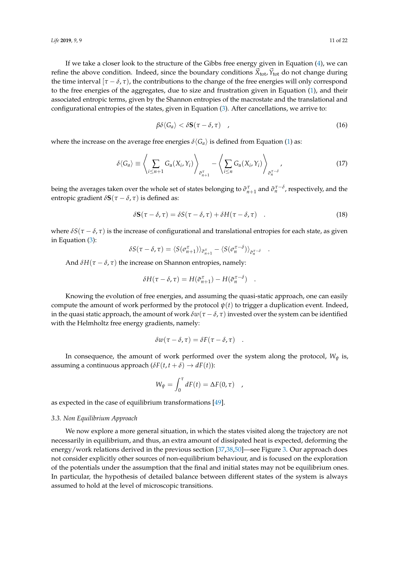If we take a closer look to the structure of the Gibbs free energy given in Equation [\(4\)](#page-4-1), we can refine the above condition. Indeed, since the boundary conditions  $\bar{X}_{\text{tot}}$ ,  $\hat{Y}_{\text{tot}}$  do not change during the time interval  $[\tau - \delta, \tau)$ , the contributions to the change of the free energies will only correspond to the free energies of the aggregates, due to size and frustration given in Equation [\(1\)](#page-3-0), and their associated entropic terms, given by the Shannon entropies of the macrostate and the translational and configurational entropies of the states, given in Equation [\(3\)](#page-4-3). After cancellations, we arrive to:

$$
\beta\delta\langle G_a\rangle < \delta\mathbf{S}(\tau-\delta,\tau) \quad , \tag{16}
$$

where the increase on the average free energies  $\delta\langle G_a \rangle$  is defined from Equation [\(1\)](#page-3-0) as:

<span id="page-10-1"></span>
$$
\delta \langle G_a \rangle \equiv \left\langle \sum_{i \leq n+1} G_a(X_i, Y_i) \right\rangle_{\tilde{\sigma}_{n+1}^{\tau}} - \left\langle \sum_{i \leq n} G_a(X_i, Y_i) \right\rangle_{\tilde{\sigma}_n^{\tau-\delta}}, \qquad (17)
$$

being the averages taken over the whole set of states belonging to  $\tilde{\sigma}_{n+1}^{\tau}$  and  $\tilde{\sigma}_n^{\tau-\delta}$ , respectively, and the entropic gradient  $\delta$ **S**( $\tau$  −  $\delta$ ,  $\tau$ ) is defined as:

<span id="page-10-2"></span>
$$
\delta \mathbf{S}(\tau - \delta, \tau) = \delta S(\tau - \delta, \tau) + \delta H(\tau - \delta, \tau) \quad . \tag{18}
$$

where  $\delta S(\tau - \delta, \tau)$  is the increase of configurational and translational entropies for each state, as given in Equation [\(3\)](#page-4-3):

$$
\delta S(\tau-\delta,\tau)=\langle S(\sigma_{n+1}^{\tau})\rangle_{\tilde{\sigma}_{n+1}^{\tau}}-\langle S(\sigma_{n}^{\tau-\delta})\rangle_{\tilde{\sigma}_{n}^{\tau-\delta}}.
$$

And  $\delta H(\tau - \delta, \tau)$  the increase on Shannon entropies, namely:

$$
\delta H(\tau - \delta, \tau) = H(\tilde{\sigma}_{n+1}^{\tau}) - H(\tilde{\sigma}_{n}^{\tau - \delta}) \quad .
$$

Knowing the evolution of free energies, and assuming the quasi-static approach, one can easily compute the amount of work performed by the protocol *ψ*(*t*) to trigger a duplication event. Indeed, in the quasi static approach, the amount of work  $\delta w(\tau - \delta, \tau)$  invested over the system can be identified with the Helmholtz free energy gradients, namely:

$$
\delta w(\tau - \delta, \tau) = \delta F(\tau - \delta, \tau) .
$$

In consequence, the amount of work performed over the system along the protocol,  $W_{\psi}$  is, assuming a continuous approach  $(\delta F(t, t + \delta) \rightarrow dF(t))$ :

$$
W_{\psi} = \int_0^{\tau} dF(t) = \Delta F(0, \tau) ,
$$

as expected in the case of equilibrium transformations [\[49\]](#page-21-6).

#### <span id="page-10-0"></span>*3.3. Non Equilibrium Approach*

We now explore a more general situation, in which the states visited along the trajectory are not necessarily in equilibrium, and thus, an extra amount of dissipated heat is expected, deforming the energy/work relations derived in the previous section [\[37](#page-20-20)[,38](#page-20-22)[,50\]](#page-21-7)—see Figure [3.](#page-11-0) Our approach does not consider explicitly other sources of non-equilibrium behaviour, and is focused on the exploration of the potentials under the assumption that the final and initial states may not be equilibrium ones. In particular, the hypothesis of detailed balance between different states of the system is always assumed to hold at the level of microscopic transitions.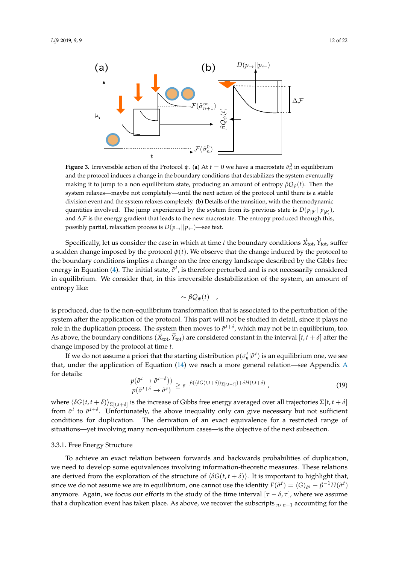<span id="page-11-0"></span>

**Figure 3.** Irreversible action of the Protocol  $\psi$ . (a) At  $t = 0$  we have a macrostate  $\tilde{\sigma}_n^0$  in equilibrium and the protocol induces a change in the boundary conditions that destabilizes the system eventually making it to jump to a non equilibrium state, producing an amount of entropy *βQψ*(*t*). Then the system relaxes—maybe not completely—until the next action of the protocol until there is a stable division event and the system relaxes completely. (**b**) Details of the transition, with the thermodynamic quantities involved. The jump experienced by the system from its previous state is  $D(p_{|\tilde{\sigma}^t|}|p_{|\tilde{\sigma}^t_*})$ , and ∆F is the energy gradient that leads to the new macrostate. The entropy produced through this, possibly partial, relaxation process is  $D(p_{\rightarrow}||p_{\leftarrow})$ —see text.

Specifically, let us consider the case in which at time *t* the boundary conditions  $\dot{X}_{\text{tot}}$ ,  $\dot{Y}_{\text{tot}}$ , suffer a sudden change imposed by the protocol  $\psi(t)$ . We observe that the change induced by the protocol to the boundary conditions implies a change on the free energy landscape described by the Gibbs free energy in Equation [\(4\)](#page-4-1). The initial state,  $\tilde{\sigma}^t$ , is therefore perturbed and is not necessarily considered in equilibrium. We consider that, in this irreversible destabilization of the system, an amount of entropy like:

$$
\sim \beta Q_{\psi}(t) \quad ,
$$

is produced, due to the non-equilibrium transformation that is associated to the perturbation of the system after the application of the protocol. This part will not be studied in detail, since it plays no role in the duplication process. The system then moves to  $\tilde{\sigma}^{t+\delta}$ , which may not be in equilibrium, too. As above, the boundary conditions  $(\vec{X}_{tot}, \vec{Y}_{tot})$  are considered constant in the interval  $[t, t + \delta]$  after the change imposed by the protocol at time *t*.

If we do not assume a priori that the starting distribution  $p(\sigma_n^t | \tilde{\sigma}^t)$  is an equilibrium one, we see that, under the application of Equation  $(14)$  we reach a more general relation—see [A](#page-17-0)ppendix A for details:

<span id="page-11-1"></span>
$$
\frac{p(\tilde{\sigma}^t \to \tilde{\sigma}^{t+\delta}))}{p(\tilde{\sigma}^{t+\delta} \to \tilde{\sigma}^t)} \ge e^{-\beta(\langle \delta G(t,t+\delta) \rangle_{\Sigma[t,t+\delta]}) + \delta H(t,t+\delta)},
$$
\n(19)

where  $\langle \delta G(t, t + \delta) \rangle_{\Sigma[t, t + \delta]}$  is the increase of Gibbs free energy averaged over all trajectories  $\Sigma[t, t + \delta]$ from *σ*˜ *t* to *σ*˜ *t*+*δ* . Unfortunately, the above inequality only can give necessary but not sufficient conditions for duplication. The derivation of an exact equivalence for a restricted range of situations—yet involving many non-equilibrium cases—is the objective of the next subsection.

#### 3.3.1. Free Energy Structure

To achieve an exact relation between forwards and backwards probabilities of duplication, we need to develop some equivalences involving information-theoretic measures. These relations are derived from the exploration of the structure of  $\langle \delta G(t, t + \delta) \rangle$ . It is important to highlight that, since we do not assume we are in equilibrium, one cannot use the identity  $F(\tilde{\sigma}^t) = \langle G \rangle_{\tilde{\sigma}^t} - \beta^{-1} H(\tilde{\sigma}^t)$ anymore. Again, we focus our efforts in the study of the time interval  $[\tau - \delta, \tau]$ , where we assume that a duplication event has taken place. As above, we recover the subscripts *<sup>n</sup>*, *<sup>n</sup>*+<sup>1</sup> accounting for the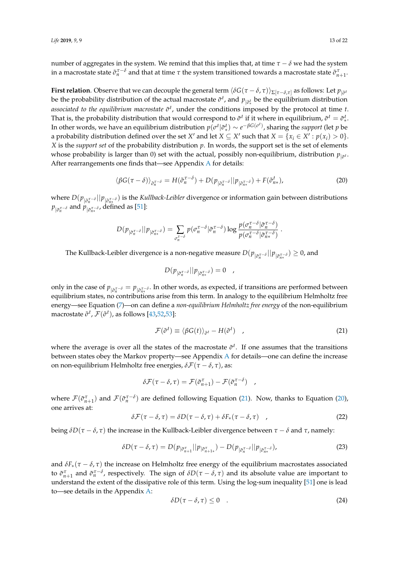number of aggregates in the system. We remind that this implies that, at time *τ* − *δ* we had the system in a macrostate state  $\tilde{\sigma}_n^{\tau-\delta}$  and that at time *τ* the system transitioned towards a macrostate state  $\tilde{\sigma}_{n+1}^{\tau}$ .

**First relation**. Observe that we can decouple the general term  $\langle \delta G(\tau - \delta, \tau) \rangle_{\Sigma[\tau - \delta, \tau]}$  as follows: Let  $p_{|\tilde{\sigma}^t}$ be the probability distribution of the actual macrostate  $\tilde{\sigma}^t$ , and  $p_{|\tilde{\sigma}^t_*}$  be the equilibrium distribution *associated to the equilibrium macrostate*  $\tilde{\sigma}^t$ , under the conditions imposed by the protocol at time *t*. That is, the probability distribution that would correspond to  $\tilde\sigma^t$  if it where in equilibrium,  $\tilde\sigma^t=\tilde\sigma^t_*$ ∗ . In other words, we have an equilibrium distribution  $p(\sigma^t | \tilde{\sigma}_*^t)$  $\mathcal{L}_{*}^{t}$ ) ∼ *e*<sup>-βG( $\sigma$ <sup>*t*</sup>)</sup>, sharing the *support* (let *p* be a probability distribution defined over the set *X'* and let *X*  $\subseteq$  *X'* such that *X* = {*x<sub>i</sub>*  $\in$  *X'* : *p*(*x<sub>i</sub>*) > 0}. *X* is the *support set* of the probability distribution *p*. In words, the support set is the set of elements whose probability is larger than 0) set with the actual, possibly non-equilibrium, distribution  $p_{|\tilde{\sigma}^t}$ . After rearrangements one finds that—see Appendix [A](#page-17-0) for details:

<span id="page-12-1"></span>
$$
\langle \beta G(\tau - \delta) \rangle_{\tilde{\sigma}_n^{\tau - \delta}} = H(\tilde{\sigma}_n^{\tau - \delta}) + D(p_{|\tilde{\sigma}_n^{\tau - \delta}} || p_{|\tilde{\sigma}_n^{\tau - \delta}}) + F(\tilde{\sigma}_{n*}^t), \tag{20}
$$

*where D*(*p*<sub>| $\tilde{\sigma}_{n}^{\tau-\delta}$ ||*p*<sub>| $\tilde{\sigma}_{n}^{\tau-\delta}$ ) is the *Kullback-Leibler* divergence or information gain between distributions</sub></sub> *p*<sub>| $\tilde{\sigma}_{n}^{\tau-\delta}$  and  $p_{|\tilde{\sigma}_{n*}^{\tau-\delta}}$ , defined as [\[51\]](#page-21-8):</sub>

$$
D(p_{|\tilde{\sigma}_n^{\tau-\delta}}||p_{|\tilde{\sigma}_n^{\tau-\delta}})=\sum_{\sigma_n^{\tau-\delta}}p(\sigma_n^{\tau-\delta}|\tilde{\sigma}_n^{\tau-\delta})\log\frac{p(\sigma_n^{\tau-\delta}|\tilde{\sigma}_n^{\tau-\delta})}{p(\sigma_n^{\tau-\delta}|\tilde{\sigma}_n^{\tau-\delta})}\,.
$$

The Kullback-Leibler divergence is a non-negative measure  $D(p_{|\tilde{\sigma}_n^{\tau-\delta}}||p_{|\tilde{\sigma}_n^{\tau-\delta}})\geq 0$ , and

$$
D(p_{\vert \tilde{\sigma}_n^{\tau-\delta}} \vert \vert p_{\vert \tilde{\sigma}_{n*}^{\tau-\delta}}) = 0 \quad ,
$$

only in the case of  $p_{\vert \tilde{\sigma}_n^{\tau-\delta}} = p_{\vert \tilde{\sigma}_n^{\tau-\delta}}$ . In other words, as expected, if transitions are performed between equilibrium states, no contributions arise from this term. In analogy to the equilibrium Helmholtz free energy—see Equation [\(7\)](#page-4-2)—on can define a *non-equilibrium Helmholtz free energy* of the non-equilibrium macrostate  $\tilde{\sigma}^t$ ,  $\mathcal{F}(\tilde{\sigma}^t)$ , as follows [\[43](#page-21-1)[,52](#page-21-9)[,53\]](#page-21-10):

<span id="page-12-0"></span>
$$
\mathcal{F}(\tilde{\sigma}^t) \equiv \langle \beta G(t) \rangle_{\tilde{\sigma}^t} - H(\tilde{\sigma}^t) \quad , \tag{21}
$$

where the average is over all the states of the macrostate  $\tilde{\sigma}^t$ . If one assumes that the transitions between states obey the Markov property—see Appendix [A](#page-17-0) for details—one can define the increase on non-equilibrium Helmholtz free energies, *δ*F(*τ* − *δ*, *τ*), as:

$$
\delta \mathcal{F}(\tau - \delta, \tau) = \mathcal{F}(\tilde{\sigma}_{n+1}^{\tau}) - \mathcal{F}(\tilde{\sigma}_{n}^{\tau - \delta}) \quad ,
$$

where  $\mathcal{F}(\tilde{\sigma}_{n+1}^{\tau})$  and  $\mathcal{F}(\tilde{\sigma}_{n}^{\tau-\delta})$  are defined following Equation [\(21\)](#page-12-0). Now, thanks to Equation [\(20\)](#page-12-1), one arrives at:

<span id="page-12-2"></span>
$$
\delta \mathcal{F}(\tau - \delta, \tau) = \delta D(\tau - \delta, \tau) + \delta F_*(\tau - \delta, \tau) \quad , \tag{22}
$$

being *δD*(*τ* − *δ*, *τ*) the increase in the Kullback-Leibler divergence between *τ* − *δ* and *τ*, namely:

$$
\delta D(\tau - \delta, \tau) = D(p_{|\tilde{\sigma}_{n+1}^{\tau}|} || p_{|\tilde{\sigma}_{n+1}^{\tau}|}) - D(p_{|\tilde{\sigma}_{n}^{\tau-\delta}} || p_{|\tilde{\sigma}_{n*}^{\tau-\delta}}), \tag{23}
$$

and  $\delta F_*(\tau - \delta, \tau)$  the increase on Helmholtz free energy of the equilibrium macrostates associated to  $\tilde{\sigma}_{n+1}^{\tau}$  and  $\tilde{\sigma}_n^{\tau-\delta}$ , respectively. The sign of  $\delta D(\tau-\delta,\tau)$  and its absolute value are important to understand the extent of the dissipative role of this term. Using the log-sum inequality [\[51\]](#page-21-8) one is lead to—see details in the Appendix [A:](#page-17-0)

<span id="page-12-3"></span>
$$
\delta D(\tau - \delta, \tau) \le 0 \quad . \tag{24}
$$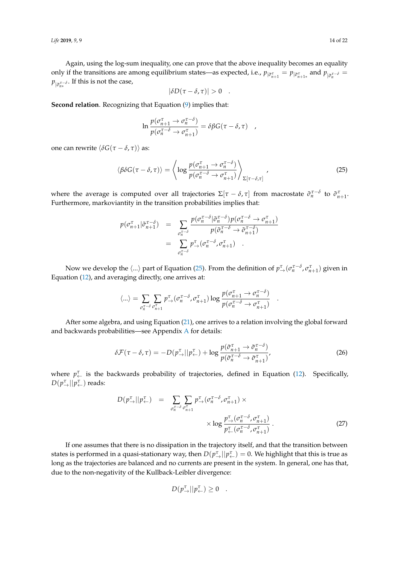Again, using the log-sum inequality, one can prove that the above inequality becomes an equality only if the transitions are among equilibrium states—as expected, i.e.,  $p_{|\tilde{\sigma}_{n+1}^{\tau}} = p_{|\tilde{\sigma}_{n+1}^{\tau}}$  and  $p_{|\tilde{\sigma}_n^{\tau-\delta}} =$  $p_{| \tilde{\sigma}^{\tau-\delta}_{n*} }$ . If this is not the case,

$$
|\delta D(\tau-\delta,\tau)|>0.
$$

**Second relation**. Recognizing that Equation [\(9\)](#page-5-3) implies that:

$$
\ln \frac{p(\sigma_{n+1}^{\tau} \to \sigma_n^{\tau-\delta})}{p(\sigma_n^{\tau-\delta} \to \sigma_{n+1}^{\tau})} = \delta \beta G(\tau-\delta,\tau) ,
$$

one can rewrite  $\langle \delta G(\tau - \delta, \tau) \rangle$  as:

<span id="page-13-0"></span>
$$
\langle \beta \delta G(\tau - \delta, \tau) \rangle = \left\langle \log \frac{p(\sigma_{n+1}^{\tau} \to \sigma_n^{\tau - \delta})}{p(\sigma_n^{\tau - \delta} \to \sigma_{n+1}^{\tau})} \right\rangle_{\Sigma[\tau - \delta, \tau]}, \qquad (25)
$$

where the average is computed over all trajectories  $\Sigma[\tau-\delta,\tau]$  from macrostate  $\tilde{\sigma}_n^{\tau-\delta}$  to  $\tilde{\sigma}_{n+1}^{\tau}$ . Furthermore, markoviantity in the transition probabilities implies that:

<span id="page-13-1"></span>
$$
p(\sigma_{n+1}^{\tau}|\tilde{\sigma}_{n+1}^{\tau-\delta}) = \sum_{\sigma_n^{\tau-\delta}} \frac{p(\sigma_n^{\tau-\delta}|\tilde{\sigma}_n^{\tau-\delta})p(\sigma_n^{\tau-\delta}\to \sigma_{n+1}^{\tau})}{p(\tilde{\sigma}_n^{\tau-\delta}\to \tilde{\sigma}_{n+1}^{\tau-\delta})}
$$
  

$$
= \sum_{\sigma_n^{\tau-\delta}} p_{\to}^{\tau}(\sigma_n^{\tau-\delta}, \sigma_{n+1}^{\tau}) .
$$

Now we develop the  $\langle ...\rangle$  part of Equation [\(25\)](#page-13-0). From the definition of  $p_\to^{\tau}(\sigma_n^{\tau-\delta},\sigma_{n+1}^{\tau})$  given in Equation [\(12\)](#page-8-2), and averaging directly, one arrives at:

$$
\langle ... \rangle = \sum_{\sigma_n^{\tau-\delta}} \sum_{\sigma_{n+1}^{\tau}} p^\tau_{\rightarrow}(\sigma_n^{\tau-\delta}, \sigma_{n+1}^{\tau}) \log \frac{p(\sigma_{n+1}^{\tau} \rightarrow \sigma_n^{\tau-\delta})}{p(\sigma_n^{\tau-\delta} \rightarrow \sigma_{n+1}^{\tau})}
$$

After some algebra, and using Equation [\(21\)](#page-12-0), one arrives to a relation involving the global forward and backwards probabilities—see Appendix [A](#page-17-0) for details:

$$
\delta \mathcal{F}(\tau - \delta, \tau) = -D(p_{\rightarrow}^{\tau} || p_{\leftarrow}^{\tau}) + \log \frac{p(\tilde{\sigma}_{n+1}^{\tau} \to \tilde{\sigma}_{n}^{\tau-\delta})}{p(\tilde{\sigma}_{n}^{\tau-\delta} \to \tilde{\sigma}_{n+1}^{\tau})},
$$
\n(26)

.

where  $p^{\tau}$  is the backwards probability of trajectories, defined in Equation [\(12\)](#page-8-2). Specifically,  $D(p_\rightarrow^\tau||p_\leftarrow^\tau)$  reads:

$$
D(p^{\tau}_{\rightarrow}||p^{\tau}_{\leftarrow}) = \sum_{\sigma_n^{\tau-\delta}} \sum_{\sigma_{n+1}^{\tau}} p^{\tau}_{\rightarrow} (\sigma_n^{\tau-\delta}, \sigma_{n+1}^{\tau}) \times \n\times \log \frac{p^{\tau}_{\rightarrow} (\sigma_n^{\tau-\delta}, \sigma_{n+1}^{\tau})}{p^{\tau}_{\leftarrow} (\sigma_n^{\tau-\delta}, \sigma_{n+1}^{\tau})}.
$$
\n(27)

If one assumes that there is no dissipation in the trajectory itself, and that the transition between states is performed in a quasi-stationary way, then  $D(p_\rightarrow \parallel p_\leftarrow^{\tau})=0$ . We highlight that this is true as long as the trajectories are balanced and no currents are present in the system. In general, one has that, due to the non-negativity of the Kullback-Leibler divergence:

$$
D(p_{\rightarrow}^{\tau}||p_{\leftarrow}^{\tau}) \geq 0 \quad .
$$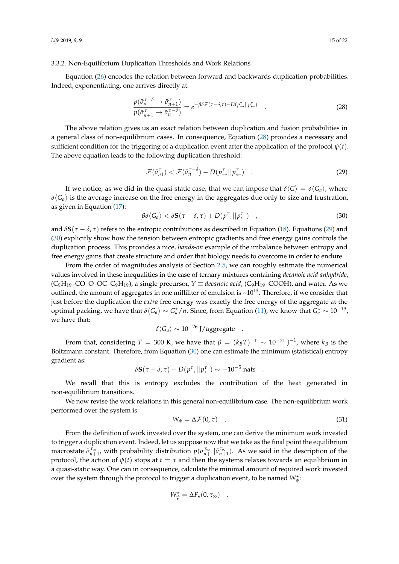## 3.3.2. Non-Equilibrium Duplication Thresholds and Work Relations

Equation [\(26\)](#page-13-1) encodes the relation between forward and backwards duplication probabilities. Indeed, exponentiating, one arrives directly at:

<span id="page-14-0"></span>
$$
\frac{p(\tilde{\sigma}_{n}^{\tau-\delta}\to\tilde{\sigma}_{n+1}^{\tau})}{p(\tilde{\sigma}_{n+1}^{\tau}\to\tilde{\sigma}_{n}^{\tau-\delta})}=e^{-\beta\delta\mathcal{F}(\tau-\delta,\tau)-D(p_{\rightarrow}^{\tau}||p_{\leftarrow}^{\tau})}\n\tag{28}
$$

The above relation gives us an exact relation between duplication and fusion probabilities in a general class of non-equilibrium cases. In consequence, Equation [\(28\)](#page-14-0) provides a necessary and sufficient condition for the triggering of a duplication event after the application of the protocol  $\psi(t)$ . The above equation leads to the following duplication threshold:

<span id="page-14-1"></span>
$$
\mathcal{F}(\tilde{\sigma}_{n1}^{\tau}) < \mathcal{F}(\tilde{\sigma}_{n}^{\tau-\delta}) - D(p_{\rightarrow}^{\tau}||p_{\leftarrow}^{\tau}) \quad . \tag{29}
$$

If we notice, as we did in the quasi-static case, that we can impose that  $\delta\langle G \rangle = \delta\langle G_a \rangle$ , where  $\delta\langle G_a \rangle$  is the average increase on the free energy in the aggregates due only to size and frustration, as given in Equation [\(17\)](#page-10-1):

<span id="page-14-2"></span>
$$
\beta\delta\langle G_a \rangle < \delta\mathbf{S}(\tau-\delta,\tau) + D(p_\rightarrow^\tau || p_\leftarrow^\tau) \quad , \tag{30}
$$

and  $\delta \mathbf{S}(\tau - \delta, \tau)$  refers to the entropic contributions as described in Equation [\(18\)](#page-10-2). Equations [\(29\)](#page-14-1) and [\(30\)](#page-14-2) explicitly show how the tension between entropic gradients and free energy gains controls the duplication process. This provides a nice, *hands-on* example of the imbalance between entropy and free energy gains that create structure and order that biology needs to overcome in order to endure.

From the order of magnitudes analysis of Section [2.5,](#page-6-0) we can roughly estimate the numerical values involved in these inequalities in the case of ternary mixtures containing *decanoic acid anhydride*, (C<sub>9</sub>H<sub>19</sub>–CO–O–OC–C<sub>9</sub>H<sub>19</sub>), a single precursor,  $Y \equiv$  *decanoic acid*, (C<sub>9</sub>H<sub>19</sub>–COOH), and water. As we outlined, the amount of aggregates in one milliliter of emulsion is  $\sim 10^{13}$ . Therefore, if we consider that just before the duplication the *extra* free energy was exactly the free energy of the aggregate at the optimal packing, we have that  $\delta\langle G_a \rangle \sim G_a^{\star}/n$ . Since, from Equation [\(11\)](#page-7-0), we know that  $G_a^{\star} \sim 10^{-13}$ , we have that:

$$
\delta \langle G_a \rangle \sim 10^{-26} \text{ J/aggregate}
$$
.

From that, considering  $T = 300$  K, we have that  $\beta = (k_B T)^{-1} \sim 10^{-21}$  J<sup>-1</sup>, where  $k_B$  is the Boltzmann constant. Therefore, from Equation [\(30\)](#page-14-2) one can estimate the minimum (statistical) entropy gradient as:

$$
\delta \mathbf{S}(\tau - \delta, \tau) + D(p_\rightarrow^\tau || p_\leftarrow^\tau) \sim -10^{-5} \text{ nats} .
$$

We recall that this is entropy excludes the contribution of the heat generated in non-equilibrium transitions.

We now revise the work relations in this general non-equilibrium case. The non-equilibrium work performed over the system is:

<span id="page-14-3"></span>
$$
W_{\psi} = \Delta \mathcal{F}(0, \tau) \quad . \tag{31}
$$

From the definition of work invested over the system, one can derive the minimum work invested to trigger a duplication event. Indeed, let us suppose now that we take as the final point the equilibrium macrostate  $\tilde{\sigma}_{n+1}^{\tau_{\infty}}$ , with probability distribution  $p(\sigma_{n+1}^{\tau_{\infty}}|\tilde{\sigma}_{n+1}^{\tau_{\infty}})$ . As we said in the description of the protocol, the action of  $\psi(t)$  stops at  $t = \tau$  and then the systems relaxes towards an equilibrium in a quasi-static way. One can in consequence, calculate the minimal amount of required work invested over the system through the protocol to trigger a duplication event, to be named  $W_{\psi}^*$ .

$$
W_{\psi}^{\star} = \Delta F_{\star}(0, \tau_{\infty}) \quad .
$$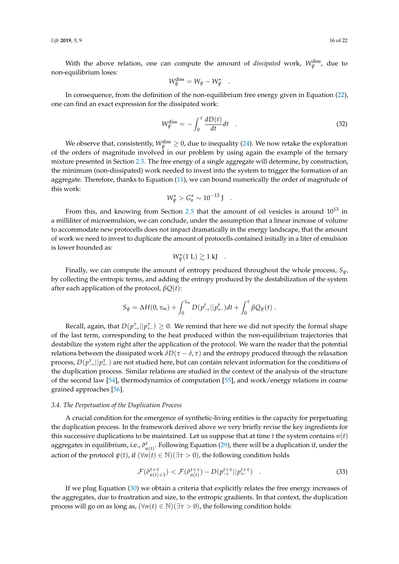With the above relation, one can compute the amount of *dissipated* work,  $W_{\psi}^{\text{diss}}$ , due to non-equilibrium loses:

$$
W_{\psi}^{\mathrm{diss}} = W_{\psi} - W_{\psi}^{\star}
$$

.

In consequence, from the definition of the non-equilibrium free energy given in Equation [\(22\)](#page-12-2), one can find an exact expression for the dissipated work:

<span id="page-15-2"></span>
$$
W_{\psi}^{\text{diss}} = -\int_0^{\tau} \frac{dD(t)}{dt} dt \quad . \tag{32}
$$

We observe that, consistently,  $W_{\psi}^{\text{diss}} \geq 0$ , due to inequality [\(24\)](#page-12-3). We now retake the exploration of the orders of magnitude involved in our problem by using again the example of the ternary mixture presented in Section [2.5.](#page-6-0) The free energy of a single aggregate will determine, by construction, the minimum (non-dissipated) work needed to invest into the system to trigger the formation of an aggregate. Therefore, thanks to Equation [\(11\)](#page-7-0), we can bound numerically the order of magnitude of this work:

$$
W_{\psi}^{\star} > G_{a}^{\star} \sim 10^{-13} \text{ J} .
$$

From this, and knowing from Section  $2.5$  that the amount of oil vesicles is around  $10^{13}$  in a milliliter of microemulsion, we can conclude, under the assumption that a linear increase of volume to accommodate new protocells does not impact dramatically in the energy landscape, that the amount of work we need to invest to duplicate the amount of protocells contained initially in a liter of emulsion is lower bounded as:

$$
W_\psi^\star(1\;L)\gtrsim 1\;kJ\quad.
$$

Finally, we can compute the amount of entropy produced throughout the whole process, *Sψ*, by collecting the entropic terms, and adding the entropy produced by the destabilization of the system after each application of the protocol, *βQ*(*t*):

<span id="page-15-1"></span>
$$
S_{\psi} = \Delta H(0, \tau_{\infty}) + \int_0^{\tau_{\infty}} D(p_{\rightarrow}^t || p_{\leftarrow}^t) dt + \int_0^{\tau} \beta Q_{\psi}(t) .
$$

Recall, again, that  $D(p^\tau_\to||p^\tau_\leftarrow) \geq 0$ . We remind that here we did not specify the formal shape of the last term, corresponding to the heat produced within the non-equilibrium trajectories that destabilize the system right after the application of the protocol. We warn the reader that the potential relations between the dissipated work  $\delta D(\tau - \delta, \tau)$  and the entropy produced through the relaxation process,  $D(p_\rightarrow \uparrow || p_\leftarrow^\tau)$  are not studied here, but can contain relevant information for the conditions of the duplication process. Similar relations are studied in the context of the analysis of the structure of the second law [\[54\]](#page-21-11), thermodynamics of computation [\[55\]](#page-21-12), and work/energy relations in coarse grained approaches [\[56\]](#page-21-13).

#### <span id="page-15-0"></span>*3.4. The Perpetuation of the Duplication Process*

A crucial condition for the emergence of synthetic-living entities is the capacity for perpetuating the duplication process. In the framework derived above we very briefly revise the key ingredients for this successive duplications to be maintained. Let us suppose that at time *t* the system contains *n*(*t*) aggregates in equilibrium, i.e.,  $\tilde{\sigma}_{n(t)}^t$ . Following Equation [\(29\)](#page-14-1), there will be a duplication if, under the action of the protocol  $\psi(t)$ , if  $(\forall n(t) \in \mathbb{N})(\exists \tau > 0)$ , the following condition holds

$$
\mathcal{F}(\tilde{\sigma}_{n(t)+1}^{t+\tau}) < \mathcal{F}(\tilde{\sigma}_{n(t)}^{t+\tau}) - D(p_{\rightarrow}^{t+\tau}||p_{\leftarrow}^{t+\tau}) \quad . \tag{33}
$$

If we plug Equation [\(30\)](#page-14-2) we obtain a criteria that explicitly relates the free energy increases of the aggregates, due to frustration and size, to the entropic gradients. In that context, the duplication process will go on as long as,  $(\forall n(t) \in \mathbb{N})(\exists \tau > 0)$ , the following condition holds: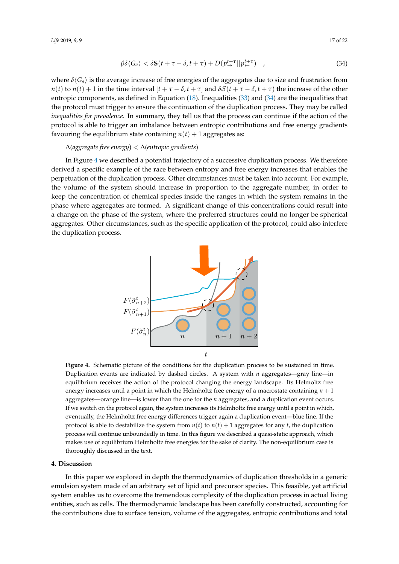<span id="page-16-0"></span>where  $\delta\langle G_a \rangle$  is the average increase of free energies of the aggregates due to size and frustration from *n*(*t*) to *n*(*t*) + 1 in the time interval  $[t + \tau - \delta, t + \tau]$  and  $\delta S(t + \tau - \delta, t + \tau)$  the increase of the other entropic components, as defined in Equation [\(18\)](#page-10-2). Inequalities [\(33\)](#page-15-1) and [\(34\)](#page-16-0) are the inequalities that the protocol must trigger to ensure the continuation of the duplication process. They may be called *inequalities for prevalence*. In summary, they tell us that the process can continue if the action of the protocol is able to trigger an imbalance between entropic contributions and free energy gradients favouring the equilibrium state containing  $n(t) + 1$  aggregates as:

# ∆(*aggregate free energy*) < ∆(*entropic gradients*)

In Figure [4](#page-16-1) we described a potential trajectory of a successive duplication process. We therefore derived a specific example of the race between entropy and free energy increases that enables the perpetuation of the duplication process. Other circumstances must be taken into account. For example, the volume of the system should increase in proportion to the aggregate number, in order to keep the concentration of chemical species inside the ranges in which the system remains in the phase where aggregates are formed. A significant change of this concentrations could result into a change on the phase of the system, where the preferred structures could no longer be spherical aggregates. Other circumstances, such as the specific application of the protocol, could also interfere the duplication process.

<span id="page-16-1"></span>

**Figure 4.** Schematic picture of the conditions for the duplication process to be sustained in time. Duplication events are indicated by dashed circles. A system with *n* aggregates—gray line—in equilibrium receives the action of the protocol changing the energy landscape. Its Helmoltz free energy increases until a point in which the Helmholtz free energy of a macrostate containing  $n + 1$ aggregates—orange line—is lower than the one for the *n* aggregates, and a duplication event occurs. If we switch on the protocol again, the system increases its Helmholtz free energy until a point in which, eventually, the Helmholtz free energy differences trigger again a duplication event—blue line. If the protocol is able to destabilize the system from  $n(t)$  to  $n(t) + 1$  aggregates for any *t*, the duplication process will continue unboundedly in time. In this figure we described a quasi-static approach, which makes use of equilibrium Helmholtz free energies for the sake of clarity. The non-equilibrium case is thoroughly discussed in the text.

## **4. Discussion**

In this paper we explored in depth the thermodynamics of duplication thresholds in a generic emulsion system made of an arbitrary set of lipid and precursor species. This feasible, yet artificial system enables us to overcome the tremendous complexity of the duplication process in actual living entities, such as cells. The thermodynamic landscape has been carefully constructed, accounting for the contributions due to surface tension, volume of the aggregates, entropic contributions and total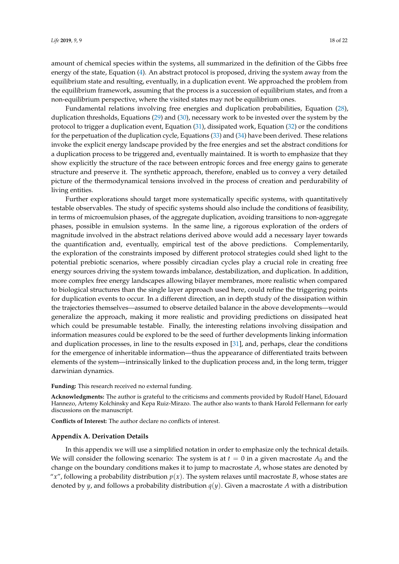amount of chemical species within the systems, all summarized in the definition of the Gibbs free energy of the state, Equation [\(4\)](#page-4-1). An abstract protocol is proposed, driving the system away from the equilibrium state and resulting, eventually, in a duplication event. We approached the problem from the equilibrium framework, assuming that the process is a succession of equilibrium states, and from a non-equilibrium perspective, where the visited states may not be equilibrium ones.

Fundamental relations involving free energies and duplication probabilities, Equation [\(28\)](#page-14-0), duplication thresholds, Equations [\(29\)](#page-14-1) and [\(30\)](#page-14-2), necessary work to be invested over the system by the protocol to trigger a duplication event, Equation [\(31\)](#page-14-3), dissipated work, Equation [\(32\)](#page-15-2) or the conditions for the perpetuation of the duplication cycle, Equations [\(33\)](#page-15-1) and [\(34\)](#page-16-0) have been derived. These relations invoke the explicit energy landscape provided by the free energies and set the abstract conditions for a duplication process to be triggered and, eventually maintained. It is worth to emphasize that they show explicitly the structure of the race between entropic forces and free energy gains to generate structure and preserve it. The synthetic approach, therefore, enabled us to convey a very detailed picture of the thermodynamical tensions involved in the process of creation and perdurability of living entities.

Further explorations should target more systematically specific systems, with quantitatively testable observables. The study of specific systems should also include the conditions of feasibility, in terms of microemulsion phases, of the aggregate duplication, avoiding transitions to non-aggregate phases, possible in emulsion systems. In the same line, a rigorous exploration of the orders of magnitude involved in the abstract relations derived above would add a necessary layer towards the quantification and, eventually, empirical test of the above predictions. Complementarily, the exploration of the constraints imposed by different protocol strategies could shed light to the potential prebiotic scenarios, where possibly circadian cycles play a crucial role in creating free energy sources driving the system towards imbalance, destabilization, and duplication. In addition, more complex free energy landscapes allowing bilayer membranes, more realistic when compared to biological structures than the single layer approach used here, could refine the triggering points for duplication events to occur. In a different direction, an in depth study of the dissipation within the trajectories themselves—assumed to observe detailed balance in the above developments—would generalize the approach, making it more realistic and providing predictions on dissipated heat which could be presumable testable. Finally, the interesting relations involving dissipation and information measures could be explored to be the seed of further developments linking information and duplication processes, in line to the results exposed in [\[31\]](#page-20-14), and, perhaps, clear the conditions for the emergence of inheritable information—thus the appearance of differentiated traits between elements of the system—intrinsically linked to the duplication process and, in the long term, trigger darwinian dynamics.

**Funding:** This research received no external funding.

**Acknowledgments:** The author is grateful to the criticisms and comments provided by Rudolf Hanel, Edouard Hannezo, Artemy Kolchinsky and Kepa Ruiz-Mirazo. The author also wants to thank Harold Fellermann for early discussions on the manuscript.

**Conflicts of Interest:** The author declare no conflicts of interest.

## <span id="page-17-0"></span>**Appendix A. Derivation Details**

In this appendix we will use a simplified notation in order to emphasize only the technical details. We will consider the following scenario: The system is at  $t = 0$  in a given macrostate  $A_0$  and the change on the boundary conditions makes it to jump to macrostate *A*, whose states are denoted by " $x$ ", following a probability distribution  $p(x)$ . The system relaxes until macrostate *B*, whose states are denoted by *y*, and follows a probability distribution  $q(y)$ . Given a macrostate *A* with a distribution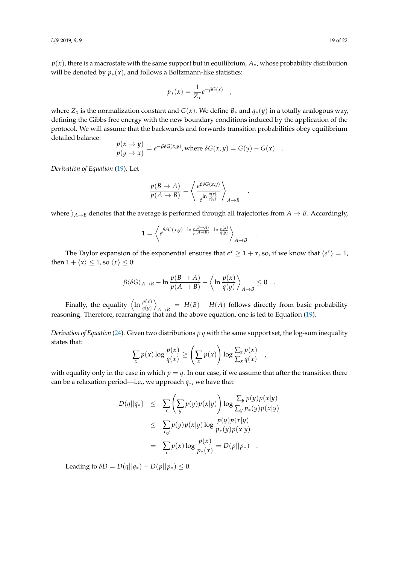*p*(*x*), there is a macrostate with the same support but in equilibrium,  $A<sub>∗</sub>$ , whose probability distribution will be denoted by  $p_*(x)$ , and follows a Boltzmann-like statistics:

$$
p_*(x) = \frac{1}{Z_x} e^{-\beta G(x)} \quad ,
$$

where  $Z_x$  is the normalization constant and  $G(x)$ . We define  $B_*$  and  $q_*(y)$  in a totally analogous way, defining the Gibbs free energy with the new boundary conditions induced by the application of the protocol. We will assume that the backwards and forwards transition probabilities obey equilibrium detailed balance:

$$
\frac{p(x \to y)}{p(y \to x)} = e^{-\beta \delta G(x,y)}, \text{where } \delta G(x,y) = G(y) - G(x) .
$$

*Derivation of Equation* [\(19\)](#page-11-1). Let

$$
\frac{p(B \to A)}{p(A \to B)} = \left\langle \frac{e^{\beta \delta G(x,y)}}{e^{\ln \frac{p(x)}{q(y)}}} \right\rangle_{A \to B}
$$

,

.

where  $\rangle_{A\rightarrow B}$  denotes that the average is performed through all trajectories from  $A \rightarrow B$ . Accordingly,

$$
1 = \left\langle e^{\beta \delta G(x,y) - \ln \frac{p(B \to A)}{p(A \to B)} - \ln \frac{p(x)}{q(y)}} \right\rangle_{A \to B}
$$

The Taylor expansion of the exponential ensures that  $e^x \geq 1 + x$ , so, if we know that  $\langle e^x \rangle = 1$ , then  $1 + \langle x \rangle \leq 1$ , so  $\langle x \rangle \leq 0$ :

$$
\beta \langle \delta G \rangle_{A \to B} - \ln \frac{p(B \to A)}{p(A \to B)} - \langle \ln \frac{p(x)}{q(y)} \rangle_{A \to B} \le 0 .
$$

Finally, the equality  $\left\langle \ln \frac{p(x)}{q(y)} \right\rangle$  $A \rightarrow B \rightarrow H(B) - H(A)$  follows directly from basic probability reasoning. Therefore, rearranging that and the above equation, one is led to Equation [\(19\)](#page-11-1).

*Derivation of Equation* [\(24\)](#page-12-3). Given two distributions *p q* with the same support set, the log-sum inequality states that:

$$
\sum_{x} p(x) \log \frac{p(x)}{q(x)} \ge \left(\sum_{x} p(x)\right) \log \frac{\sum_{x} p(x)}{\sum_{x} q(x)} ,
$$

with equality only in the case in which  $p = q$ . In our case, if we assume that after the transition there can be a relaxation period—i.e., we approach *q*∗, we have that:

$$
D(q||q_{*}) \leq \sum_{x} \left( \sum_{y} p(y) p(x|y) \right) \log \frac{\sum_{y} p(y) p(x|y)}{\sum_{y} p_{*}(y) p(x|y)} \leq \sum_{x,y} p(y) p(x|y) \log \frac{p(y) p(x|y)}{p_{*}(y) p(x|y)} = \sum_{x} p(x) \log \frac{p(x)}{p_{*}(x)} = D(p||p_{*}) .
$$

Leading to  $\delta D = D(q||q_*) - D(p||p_*) \leq 0$ .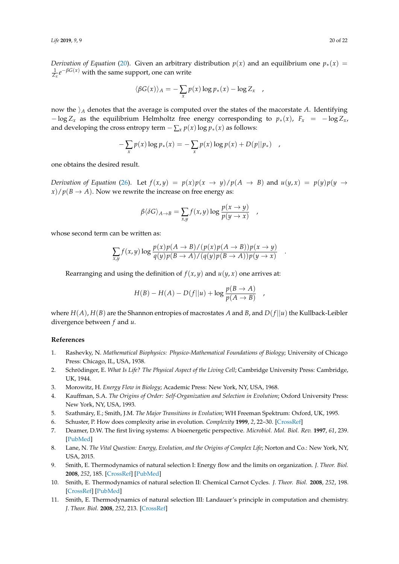*Derivation of Equation* [\(20\)](#page-12-1). Given an arbitrary distribution  $p(x)$  and an equilibrium one  $p_*(x)$  =  $\frac{1}{Z_x}e^{-\beta G(x)}$  with the same support, one can write

$$
\langle \beta G(x) \rangle_A = -\sum_x p(x) \log p_*(x) - \log Z_x ,
$$

now the  $\lambda_A$  denotes that the average is computed over the states of the macorstate A. Identifying  $-\log Z_x$  as the equilibrium Helmholtz free energy corresponding to  $p_*(x)$ ,  $F_x = -\log Z_x$ , and developing the cross entropy term  $-\sum_{x} p(x) \log p_*(x)$  as follows:

$$
-\sum_{x} p(x) \log p_{*}(x) = -\sum_{x} p(x) \log p(x) + D(p||p_{*}) ,
$$

one obtains the desired result.

*Derivation of Equation* [\(26\)](#page-13-1). Let  $f(x, y) = p(x)p(x \rightarrow y)/p(A \rightarrow B)$  and  $u(y, x) = p(y)p(y \rightarrow y)$  $\frac{x}{p(B \to A)}$ . Now we rewrite the increase on free energy as:

$$
\beta \langle \delta G \rangle_{A \to B} = \sum_{x,y} f(x,y) \log \frac{p(x \to y)}{p(y \to x)} \quad ,
$$

whose second term can be written as:

$$
\sum_{x,y} f(x,y) \log \frac{p(x)p(A \to B)/(p(x)p(A \to B))p(x \to y)}{q(y)p(B \to A)/(q(y)p(B \to A))p(y \to x)}
$$

.

,

Rearranging and using the definition of  $f(x, y)$  and  $u(y, x)$  one arrives at:

$$
H(B) - H(A) - D(f||u) + \log \frac{p(B \to A)}{p(A \to B)}
$$

where  $H(A)$ ,  $H(B)$  are the Shannon entropies of macrostates *A* and *B*, and  $D(f||u)$  the Kullback-Leibler divergence between *f* and *u*.

## **References**

- <span id="page-19-0"></span>1. Rashevky, N. *Mathematical Biophysics: Physico-Mathematical Foundations of Biology*; University of Chicago Press: Chicago, IL, USA, 1938.
- 2. Schrödinger, E. *What Is Life? The Physical Aspect of the Living Cell*; Cambridge University Press: Cambridge, UK, 1944.
- 3. Morowitz, H. *Energy Flow in Biology*; Academic Press: New York, NY, USA, 1968.
- 4. Kauffman, S.A. *The Origins of Order: Self-Organization and Selection in Evolution*; Oxford University Press: New York, NY, USA, 1993.
- 5. Szathmáry, E.; Smith, J.M. *The Major Transitions in Evolution*; WH Freeman Spektrum: Oxford, UK, 1995.
- 6. Schuster, P. How does complexity arise in evolution. *Complexity* **1999**, *2*, 22–30. [\[CrossRef\]](http://dx.doi.org/10.1002/(SICI)1099-0526(199609/10)2:1<22::AID-CPLX6>3.0.CO;2-H)
- 7. Deamer, D.W. The first living systems: A bioenergetic perspective. *Microbiol. Mol. Biol. Rev.* **1997**, *61*, 239. [\[PubMed\]](http://www.ncbi.nlm.nih.gov/pubmed/9184012)
- 8. Lane, N. *The Vital Question: Energy, Evolution, and the Origins of Complex Life*; Norton and Co.: New York, NY, USA, 2015.
- 9. Smith, E. Thermodynamics of natural selection I: Energy flow and the limits on organization. *J. Theor. Biol.* **2008**, *252*, 185. [\[CrossRef\]](http://dx.doi.org/10.1016/j.jtbi.2008.02.010) [\[PubMed\]](http://www.ncbi.nlm.nih.gov/pubmed/18367210)
- 10. Smith, E. Thermodynamics of natural selection II: Chemical Carnot Cycles. *J. Theor. Biol.* **2008**, *252*, 198. [\[CrossRef\]](http://dx.doi.org/10.1016/j.jtbi.2008.02.008) [\[PubMed\]](http://www.ncbi.nlm.nih.gov/pubmed/18367209)
- 11. Smith, E. Thermodynamics of natural selection III: Landauer's principle in computation and chemistry. *J. Theor. Biol.* **2008**, *252*, 213. [\[CrossRef\]](http://dx.doi.org/10.1016/j.jtbi.2008.02.013)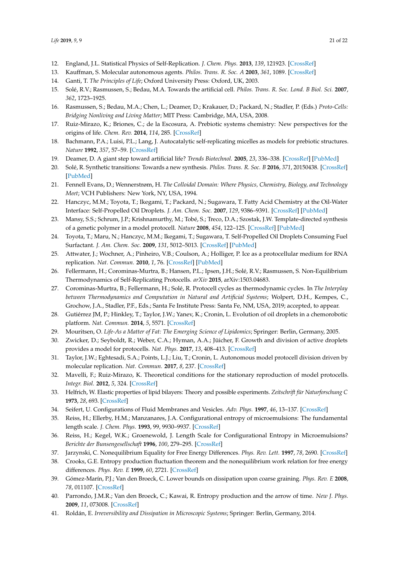- <span id="page-20-0"></span>12. England, J.L. Statistical Physics of Self-Replication. *J. Chem. Phys.* **2013**, *139*, 121923. [\[CrossRef\]](http://dx.doi.org/10.1063/1.4818538)
- <span id="page-20-1"></span>13. Kauffman, S. Molecular autonomous agents. *Philos. Trans. R. Soc. A* **2003**, *361*, 1089. [\[CrossRef\]](http://dx.doi.org/10.1098/rsta.2003.1186)
- 14. Ganti, T. *The Principles of Life*; Oxford University Press: Oxford, UK, 2003.
- <span id="page-20-7"></span>15. Solé, R.V.; Rasmussen, S.; Bedau, M.A. Towards the artificial cell. *Philos. Trans. R. Soc. Lond. B Biol. Sci.* **2007**, *362*, 1723–1925.
- <span id="page-20-3"></span>16. Rasmussen, S.; Bedau, M.A.; Chen, L.; Deamer, D.; Krakauer, D.; Packard, N.; Stadler, P. (Eds.) *Proto-Cells: Bridging Nonliving and Living Matter*; MIT Press: Cambridge, MA, USA, 2008.
- <span id="page-20-2"></span>17. Ruiz-Mirazo, K.; Briones, C.; de la Escosura, A. Prebiotic systems chemistry: New perspectives for the origins of life. *Chem. Rev.* **2014**, *114*, 285. [\[CrossRef\]](http://dx.doi.org/10.1021/cr2004844)
- <span id="page-20-4"></span>18. Bachmann, P.A.; Luisi, P.L.; Lang, J. Autocatalytic self-replicating micelles as models for prebiotic structures. *Nature* **1992**, *357*, 57–59. [\[CrossRef\]](http://dx.doi.org/10.1038/357057a0)
- <span id="page-20-8"></span>19. Deamer, D. A giant step toward artificial life? *Trends Biotechnol.* **2005**, *23*, 336–338. [\[CrossRef\]](http://dx.doi.org/10.1016/j.tibtech.2005.05.008) [\[PubMed\]](http://www.ncbi.nlm.nih.gov/pubmed/15935500)
- <span id="page-20-5"></span>20. Solé, R. Synthetic transitions: Towards a new synthesis. *Philos. Trans. R. Soc. B* **2016**, *371*, 20150438. [\[CrossRef\]](http://dx.doi.org/10.1098/rstb.2015.0438) [\[PubMed\]](http://www.ncbi.nlm.nih.gov/pubmed/27431516)
- <span id="page-20-6"></span>21. Fennell Evans, D.; Wennerstrøm, H. *The Colloidal Domain: Where Physics, Chemistry, Biology, and Technology Meet*; VCH Publishers: New York, NY, USA, 1994.
- <span id="page-20-9"></span>22. Hanczyc, M.M.; Toyota, T.; Ikegami, T.; Packard, N.; Sugawara, T. Fatty Acid Chemistry at the Oil-Water Interface: Self-Propelled Oil Droplets. *J. Am. Chem. Soc.* **2007**, *129*, 9386–9391. [\[CrossRef\]](http://dx.doi.org/10.1021/ja0706955) [\[PubMed\]](http://www.ncbi.nlm.nih.gov/pubmed/17616129)
- 23. Mansy, S.S.; Schrum, J.P.; Krishnamurthy, M.; Tobé, S.; Treco, D.A.; Szostak, J.W. Template-directed synthesis of a genetic polymer in a model protocell. *Nature* **2008**, *454*, 122–125. [\[CrossRef\]](http://dx.doi.org/10.1038/nature07018) [\[PubMed\]](http://www.ncbi.nlm.nih.gov/pubmed/18528332)
- 24. Toyota, T.; Maru, N.; Hanczyc, M.M.; Ikegami, T.; Sugawara, T. Self-Propelled Oil Droplets Consuming Fuel Surfactant. *J. Am. Chem. Soc.* **2009**, *131*, 5012–5013. [\[CrossRef\]](http://dx.doi.org/10.1021/ja806689p) [\[PubMed\]](http://www.ncbi.nlm.nih.gov/pubmed/19351200)
- 25. Attwater, J.; Wochner, A.; Pinheiro, V.B.; Coulson, A.; Holliger, P. Ice as a protocellular medium for RNA replication. *Nat. Commun.* **2010**, *1*, 76. [\[CrossRef\]](http://dx.doi.org/10.1038/ncomms1076) [\[PubMed\]](http://www.ncbi.nlm.nih.gov/pubmed/20865803)
- <span id="page-20-11"></span>26. Fellermann, H.; Corominas-Murtra, B.; Hansen, P.L.; Ipsen, J.H.; Solé, R.V.; Rasmussen, S. Non-Equilibrium Thermodynamics of Self-Replicating Protocells. *arXiv* **2015**, arXiv:1503.04683.
- <span id="page-20-21"></span>27. Corominas-Murtra, B.; Fellermann, H.; Solé, R. Protocell cycles as thermodynamic cycles. In *The Interplay between Thermodynamics and Computation in Natural and Artificial Systems*; Wolpert, D.H., Kempes, C., Grochow, J.A., Stadler, P.F., Eds.; Santa Fe Institute Press: Santa Fe, NM, USA, 2019; accepted, to appear.
- <span id="page-20-10"></span>28. Gutiérrez JM, P.; Hinkley, T.; Taylor, J.W.; Yanev, K.; Cronin, L. Evolution of oil droplets in a chemorobotic platform. *Nat. Commun.* **2014**, *5*, 5571. [\[CrossRef\]](http://dx.doi.org/10.1038/ncomms6571)
- <span id="page-20-12"></span>29. Mouritsen, O. *Life-As a Matter of Fat: The Emerging Science of Lipidomics*; Springer: Berlin, Germany, 2005.
- <span id="page-20-13"></span>30. Zwicker, D.; Seyboldt, R.; Weber, C.A.; Hyman, A.A.; Jüicher, F. Growth and division of active droplets provides a model for protocells. *Nat. Phys.* **2017**, *13*, 408–413. [\[CrossRef\]](http://dx.doi.org/10.1038/nphys3984)
- <span id="page-20-14"></span>31. Taylor, J.W.; Eghtesadi, S.A.; Points, L.J.; Liu, T.; Cronin, L. Autonomous model protocell division driven by molecular replication. *Nat. Commun.* **2017**, *8*, 237. [\[CrossRef\]](http://dx.doi.org/10.1038/s41467-017-00177-4)
- <span id="page-20-15"></span>32. Mavelli, F.; Ruiz-Mirazo, K. Theoretical conditions for the stationary reproduction of model protocells. *Integr. Biol.* **2012**, *5*, 324. [\[CrossRef\]](http://dx.doi.org/10.1039/C2IB20222K)
- <span id="page-20-16"></span>33. Helfrich, W. Elastic properties of lipid bilayers: Theory and possible experiments. *Zeitschrift für Naturforschung C* **1973**, *28*, 693. [\[CrossRef\]](http://dx.doi.org/10.1515/znc-1973-11-1209)
- <span id="page-20-18"></span><span id="page-20-17"></span>34. Seifert, U. Configurations of Fluid Membranes and Vesicles. *Adv. Phys.* **1997**, *46*, 13–137. [\[CrossRef\]](http://dx.doi.org/10.1080/00018739700101488)
- 35. Reiss, H.; Ellerby, H.M.; Manzanares, J.A. Configurational entropy of microemulsions: The fundamental length scale. *J. Chem. Phys.* **1993**, 99, 9930–9937. [\[CrossRef\]](http://dx.doi.org/10.1063/1.465391)
- <span id="page-20-19"></span>36. Reiss, H.; Kegel, W.K.; Groenewold, J. Length Scale for Configurational Entropy in Microemulsions? *Berichte der Bunsengesellschaft* **1996**, *100*, 279–295. [\[CrossRef\]](http://dx.doi.org/10.1002/bbpc.19961000314)
- <span id="page-20-20"></span>37. Jarzynski, C. Nonequilibrium Equality for Free Energy Differences. *Phys. Rev. Lett.* **1997**, *78*, 2690. [\[CrossRef\]](http://dx.doi.org/10.1103/PhysRevLett.78.2690)
- <span id="page-20-22"></span>38. Crooks, G.E. Entropy production fluctuation theorem and the nonequilibrium work relation for free energy differences. *Phys. Rev. E* **1999**, *60*, 2721. [\[CrossRef\]](http://dx.doi.org/10.1103/PhysRevE.60.2721)
- 39. Gómez-Marín, P.J.; Van den Broeck, C. Lower bounds on dissipation upon coarse graining. *Phys. Rev. E* **2008**, *78*, 011107. [\[CrossRef\]](http://dx.doi.org/10.1103/PhysRevE.78.011107)
- 40. Parrondo, J.M.R.; Van den Broeck, C.; Kawai, R. Entropy production and the arrow of time. *New J. Phys.* **2009**, *11*, 073008. [\[CrossRef\]](http://dx.doi.org/10.1088/1367-2630/11/7/073008)
- 41. Roldán, E. *Irreversibility and Dissipation in Microscopic Systems*; Springer: Berlin, Germany, 2014.